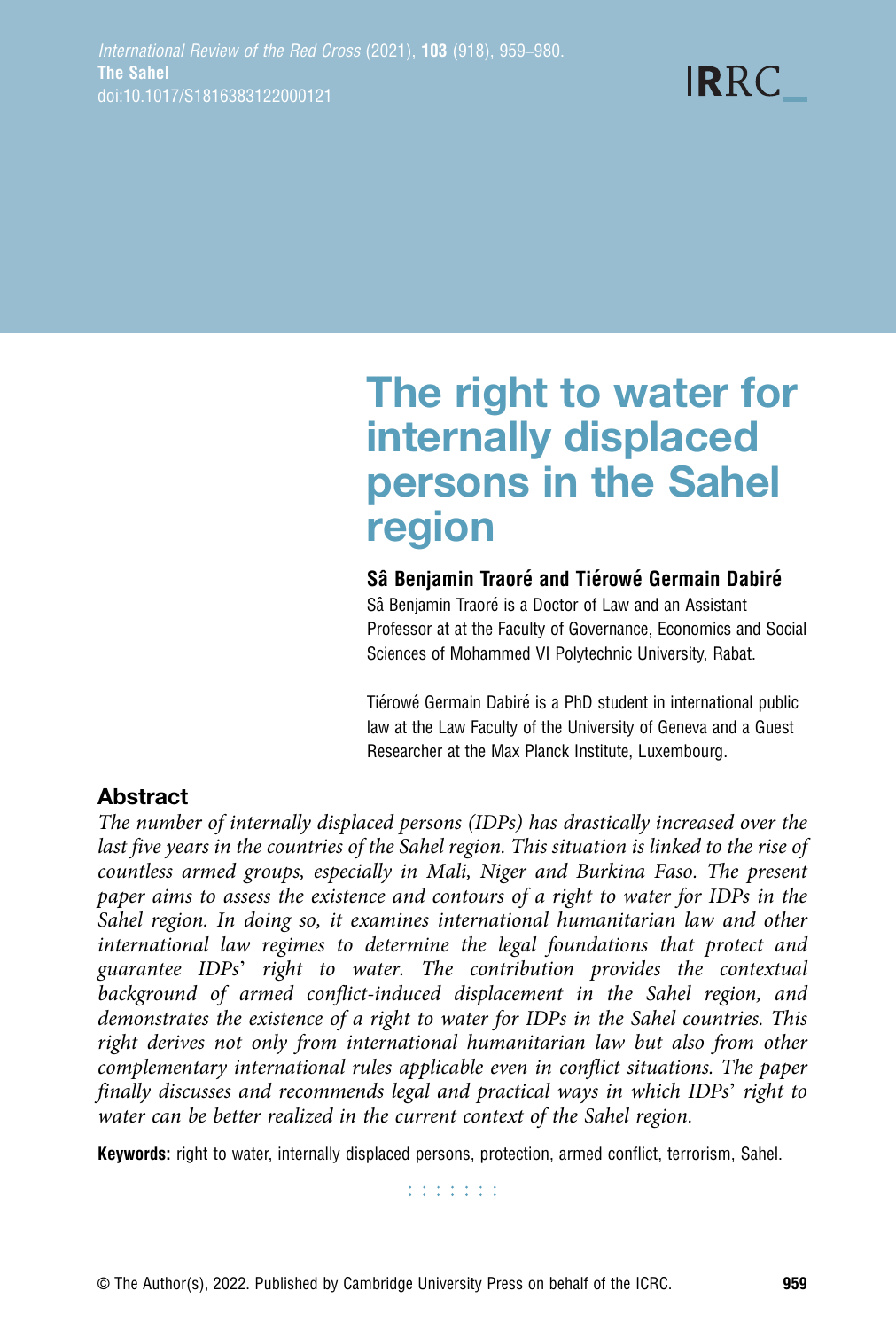**IRRC** 

# The right to water for internally displaced persons in the Sahel region

## Sâ Benjamin Traoré and Tiérowé Germain Dabiré

Sâ Benjamin Traoré is a Doctor of Law and an Assistant Professor at at the Faculty of Governance, Economics and Social Sciences of Mohammed VI Polytechnic University, Rabat.

Tiérowé Germain Dabiré is a PhD student in international public law at the Law Faculty of the University of Geneva and a Guest Researcher at the Max Planck Institute, Luxembourg.

# Abstract

The number of internally displaced persons (IDPs) has drastically increased over the last five years in the countries of the Sahel region. This situation is linked to the rise of countless armed groups, especially in Mali, Niger and Burkina Faso. The present paper aims to assess the existence and contours of a right to water for IDPs in the Sahel region. In doing so, it examines international humanitarian law and other international law regimes to determine the legal foundations that protect and guarantee IDPs' right to water. The contribution provides the contextual background of armed conflict-induced displacement in the Sahel region, and demonstrates the existence of a right to water for IDPs in the Sahel countries. This right derives not only from international humanitarian law but also from other complementary international rules applicable even in conflict situations. The paper finally discusses and recommends legal and practical ways in which IDPs' right to water can be better realized in the current context of the Sahel region.

Keywords: right to water, internally displaced persons, protection, armed conflict, terrorism, Sahel.

**Editoria**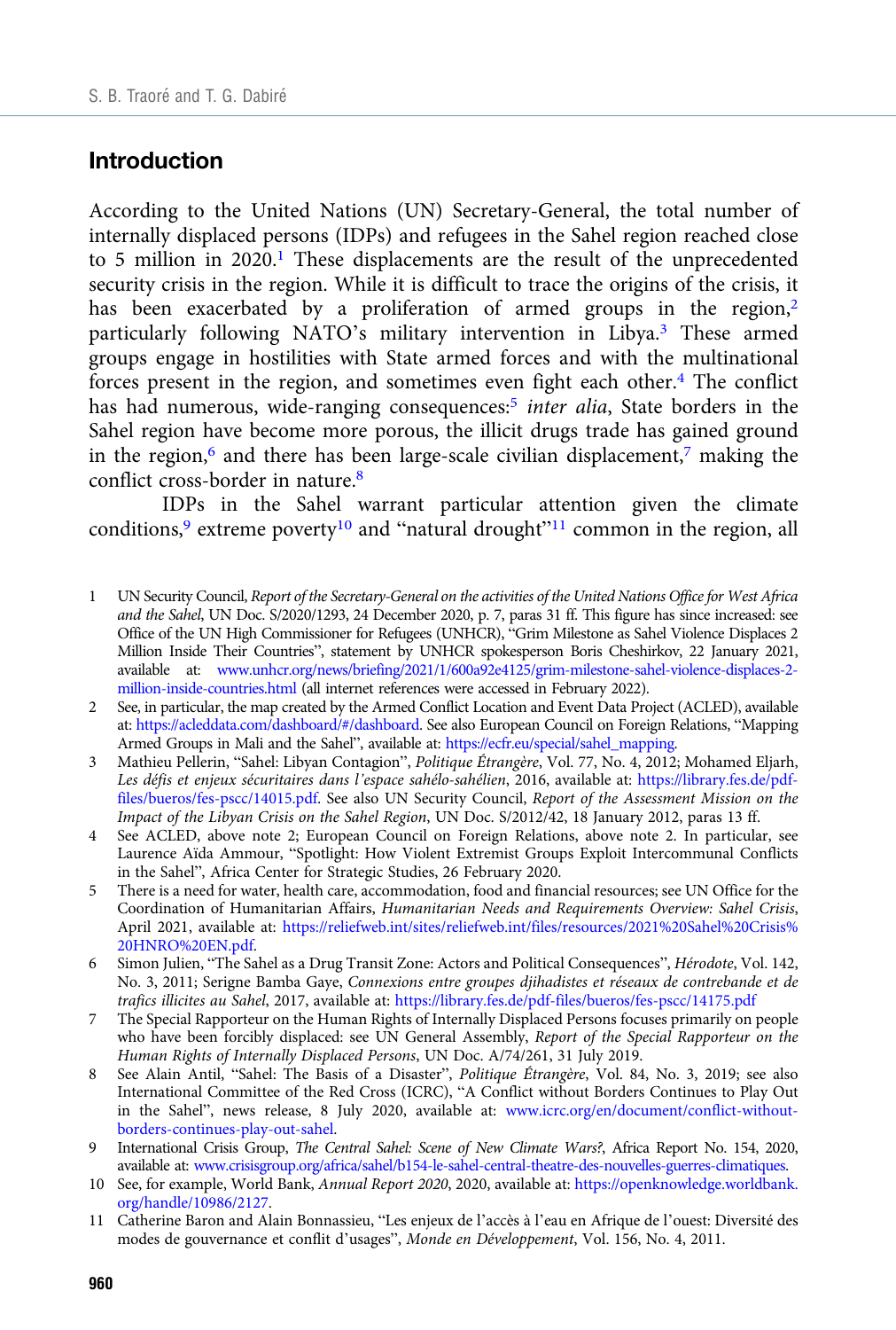#### Introduction

According to the United Nations (UN) Secretary-General, the total number of internally displaced persons (IDPs) and refugees in the Sahel region reached close to 5 million in 2020.<sup>1</sup> These displacements are the result of the unprecedented security crisis in the region. While it is difficult to trace the origins of the crisis, it has been exacerbated by a proliferation of armed groups in the region, $2$ particularly following NATO's military intervention in Libya.3 These armed groups engage in hostilities with State armed forces and with the multinational forces present in the region, and sometimes even fight each other. $4$  The conflict has had numerous, wide-ranging consequences:<sup>5</sup> inter alia, State borders in the Sahel region have become more porous, the illicit drugs trade has gained ground in the region, $6$  and there has been large-scale civilian displacement, $7$  making the conflict cross-border in nature.<sup>8</sup>

IDPs in the Sahel warrant particular attention given the climate conditions,<sup>9</sup> extreme poverty<sup>10</sup> and "natural drought"<sup>11</sup> common in the region, all

- 1 UN Security Council, Report of the Secretary-General on the activities of the United Nations Office for West Africa and the Sahel, UN Doc. S/2020/1293, 24 December 2020, p. 7, paras 31 ff. This figure has since increased: see Office of the UN High Commissioner for Refugees (UNHCR), "Grim Milestone as Sahel Violence Displaces 2 Million Inside Their Countries", statement by UNHCR spokesperson Boris Cheshirkov, 22 January 2021, available at: [www.unhcr.org/news/briefing/2021/1/600a92e4125/grim-milestone-sahel-violence-displaces-2](https://www.unhcr.org/fr/news/briefing/2021/1/600ab051a/bien-triste-jalon-violence-sahel-deplace-2-millions-personnes-sein-pays.html) [million-inside-countries.html](https://www.unhcr.org/fr/news/briefing/2021/1/600ab051a/bien-triste-jalon-violence-sahel-deplace-2-millions-personnes-sein-pays.html) (all internet references were accessed in February 2022).
- 2 See, in particular, the map created by the Armed Conflict Location and Event Data Project (ACLED), available at: [https://acleddata.com/dashboard/#/dashboard.](https://acleddata.com/dashboard/%23/dashboard) See also European Council on Foreign Relations, "Mapping Armed Groups in Mali and the Sahel", available at: [https://ecfr.eu/special/sahel\\_mapping.](https://ecfr.eu/special/sahel_mapping)
- 3 Mathieu Pellerin, "Sahel: Libyan Contagion", Politique Étrangère, Vol. 77, No. 4, 2012; Mohamed Eljarh, Les défis et enjeux sécuritaires dans l'espace sahélo-sahélien, 2016, available at: [https://library.fes.de/pdf](https://library.fes.de/pdf-files/bueros/fes-pscc/14015.pdf)[files/bueros/fes-pscc/14015.pdf.](https://library.fes.de/pdf-files/bueros/fes-pscc/14015.pdf) See also UN Security Council, Report of the Assessment Mission on the Impact of the Libyan Crisis on the Sahel Region, UN Doc. S/2012/42, 18 January 2012, paras 13 ff.
- 4 See ACLED, above note 2; European Council on Foreign Relations, above note 2. In particular, see Laurence Aïda Ammour, "Spotlight: How Violent Extremist Groups Exploit Intercommunal Conflicts in the Sahel", Africa Center for Strategic Studies, 26 February 2020.
- 5 There is a need for water, health care, accommodation, food and financial resources; see UN Office for the Coordination of Humanitarian Affairs, Humanitarian Needs and Requirements Overview: Sahel Crisis, April 2021, available at: [https://reliefweb.int/sites/reliefweb.int/files/resources/2021%20Sahel%20Crisis%](https://reliefweb.int/sites/reliefweb.int/files/resources/2021%20Sahel%20Crisis%20HNRO%20EN.pdf) [20HNRO%20EN.pdf](https://reliefweb.int/sites/reliefweb.int/files/resources/2021%20Sahel%20Crisis%20HNRO%20EN.pdf).
- 6 Simon Julien, "The Sahel as a Drug Transit Zone: Actors and Political Consequences", Hérodote, Vol. 142, No. 3, 2011; Serigne Bamba Gaye, Connexions entre groupes djihadistes et réseaux de contrebande et de trafics illicites au Sahel, 2017, available at: <https://library.fes.de/pdf-files/bueros/fes-pscc/14175.pdf>
- 7 The Special Rapporteur on the Human Rights of Internally Displaced Persons focuses primarily on people who have been forcibly displaced: see UN General Assembly, Report of the Special Rapporteur on the Human Rights of Internally Displaced Persons, UN Doc. A/74/261, 31 July 2019.
- 8 See Alain Antil, "Sahel: The Basis of a Disaster", Politique Étrangère, Vol. 84, No. 3, 2019; see also International Committee of the Red Cross (ICRC), "A Conflict without Borders Continues to Play Out in the Sahel", news release, 8 July 2020, available at: [www.icrc.org/en/document/conflict-without](https://www.icrc.org/en/document/conflict-without-borders-continues-play-out-sahel)[borders-continues-play-out-sahel.](https://www.icrc.org/en/document/conflict-without-borders-continues-play-out-sahel)
- 9 International Crisis Group, The Central Sahel: Scene of New Climate Wars?, Africa Report No. 154, 2020, available at: [www.crisisgroup.org/africa/sahel/b154-le-sahel-central-theatre-des-nouvelles-guerres-climatiques](http://www.crisisgroup.org/africa/sahel/b154-le-sahel-central-theatre-des-nouvelles-guerres-climatiques).
- 10 See, for example, World Bank, Annual Report 2020, 2020, available at: [https://openknowledge.worldbank.](https://openknowledge.worldbank.org/handle/10986/2127) [org/handle/10986/2127.](https://openknowledge.worldbank.org/handle/10986/2127)
- 11 Catherine Baron and Alain Bonnassieu, "Les enjeux de l'accès à l'eau en Afrique de l'ouest: Diversité des modes de gouvernance et conflit d'usages", Monde en Développement, Vol. 156, No. 4, 2011.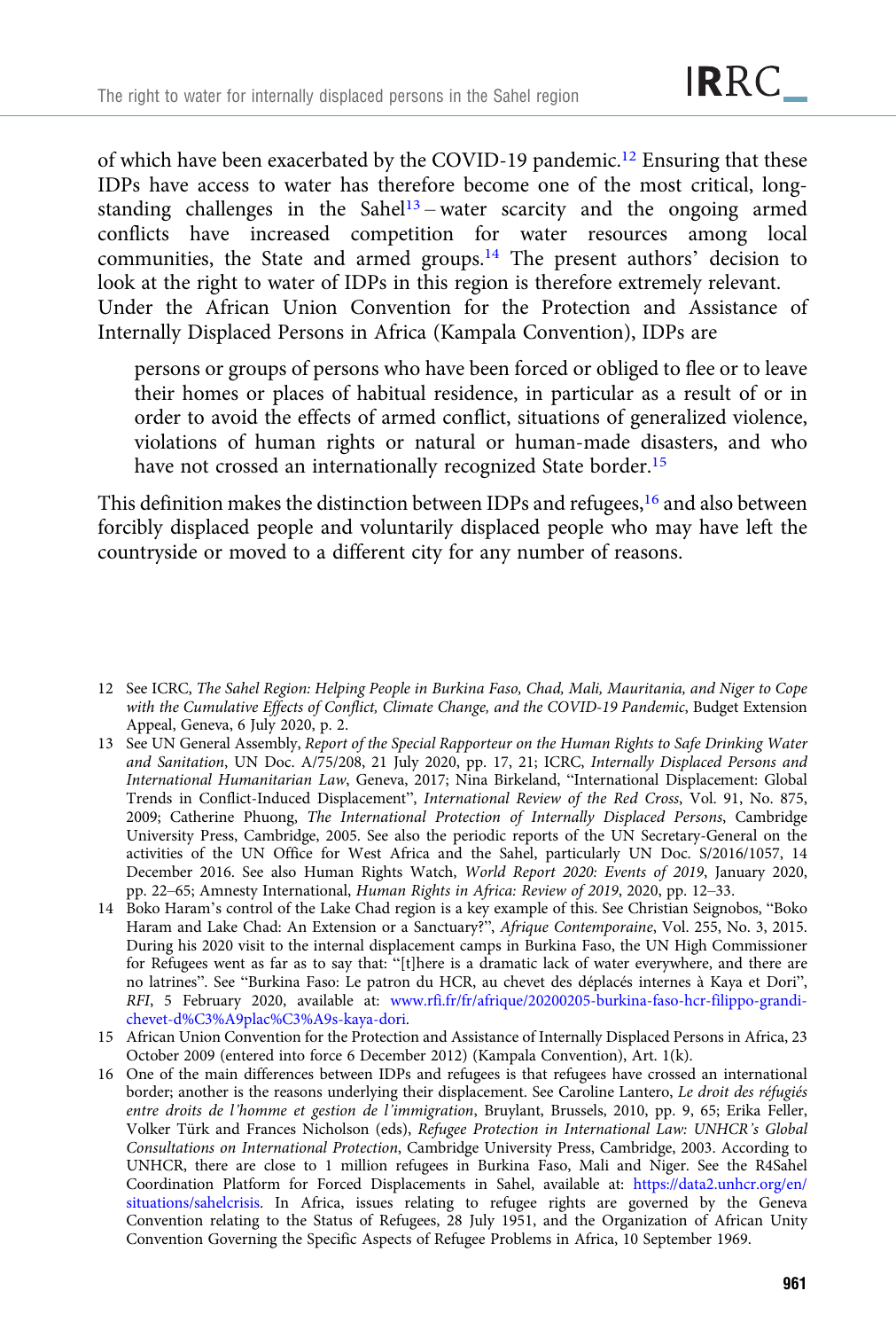of which have been exacerbated by the COVID-19 pandemic.<sup>12</sup> Ensuring that these IDPs have access to water has therefore become one of the most critical, longstanding challenges in the Sahel<sup>13</sup> – water scarcity and the ongoing armed conflicts have increased competition for water resources among local communities, the State and armed groups.14 The present authors' decision to look at the right to water of IDPs in this region is therefore extremely relevant. Under the African Union Convention for the Protection and Assistance of Internally Displaced Persons in Africa (Kampala Convention), IDPs are

persons or groups of persons who have been forced or obliged to flee or to leave their homes or places of habitual residence, in particular as a result of or in order to avoid the effects of armed conflict, situations of generalized violence, violations of human rights or natural or human-made disasters, and who have not crossed an internationally recognized State border.<sup>15</sup>

This definition makes the distinction between IDPs and refugees, $16$  and also between forcibly displaced people and voluntarily displaced people who may have left the countryside or moved to a different city for any number of reasons.

- 13 See UN General Assembly, Report of the Special Rapporteur on the Human Rights to Safe Drinking Water and Sanitation, UN Doc. A/75/208, 21 July 2020, pp. 17, 21; ICRC, Internally Displaced Persons and International Humanitarian Law, Geneva, 2017; Nina Birkeland, "International Displacement: Global Trends in Conflict-Induced Displacement", International Review of the Red Cross, Vol. 91, No. 875, 2009; Catherine Phuong, The International Protection of Internally Displaced Persons, Cambridge University Press, Cambridge, 2005. See also the periodic reports of the UN Secretary-General on the activities of the UN Office for West Africa and the Sahel, particularly UN Doc. S/2016/1057, 14 December 2016. See also Human Rights Watch, World Report 2020: Events of 2019, January 2020, pp. 22–65; Amnesty International, Human Rights in Africa: Review of 2019, 2020, pp. 12–33.
- 14 Boko Haram's control of the Lake Chad region is a key example of this. See Christian Seignobos, "Boko Haram and Lake Chad: An Extension or a Sanctuary?", Afrique Contemporaine, Vol. 255, No. 3, 2015. During his 2020 visit to the internal displacement camps in Burkina Faso, the UN High Commissioner for Refugees went as far as to say that: "[t]here is a dramatic lack of water everywhere, and there are no latrines". See "Burkina Faso: Le patron du HCR, au chevet des déplacés internes à Kaya et Dori", RFI, 5 February 2020, available at: [www.rfi.fr/fr/afrique/20200205-burkina-faso-hcr-filippo-grandi](https://www.rfi.fr/fr/afrique/20200205-burkina-faso-hcr-filippo-grandi-chevet-d%C3%A9plac%C3%A9s-kaya-dori)[chevet-d%C3%A9plac%C3%A9s-kaya-dori.](https://www.rfi.fr/fr/afrique/20200205-burkina-faso-hcr-filippo-grandi-chevet-d%C3%A9plac%C3%A9s-kaya-dori)
- 15 African Union Convention for the Protection and Assistance of Internally Displaced Persons in Africa, 23 October 2009 (entered into force 6 December 2012) (Kampala Convention), Art. 1(k).
- 16 One of the main differences between IDPs and refugees is that refugees have crossed an international border; another is the reasons underlying their displacement. See Caroline Lantero, Le droit des réfugiés entre droits de l'homme et gestion de l'immigration, Bruylant, Brussels, 2010, pp. 9, 65; Erika Feller, Volker Türk and Frances Nicholson (eds), Refugee Protection in International Law: UNHCR's Global Consultations on International Protection, Cambridge University Press, Cambridge, 2003. According to UNHCR, there are close to 1 million refugees in Burkina Faso, Mali and Niger. See the R4Sahel Coordination Platform for Forced Displacements in Sahel, available at: [https://data2.unhcr.org/en/](https://data2.unhcr.org/en/situations/sahelcrisis) [situations/sahelcrisis](https://data2.unhcr.org/en/situations/sahelcrisis). In Africa, issues relating to refugee rights are governed by the Geneva Convention relating to the Status of Refugees, 28 July 1951, and the Organization of African Unity Convention Governing the Specific Aspects of Refugee Problems in Africa, 10 September 1969.

<sup>12</sup> See ICRC, The Sahel Region: Helping People in Burkina Faso, Chad, Mali, Mauritania, and Niger to Cope with the Cumulative Effects of Conflict, Climate Change, and the COVID-19 Pandemic, Budget Extension Appeal, Geneva, 6 July 2020, p. 2.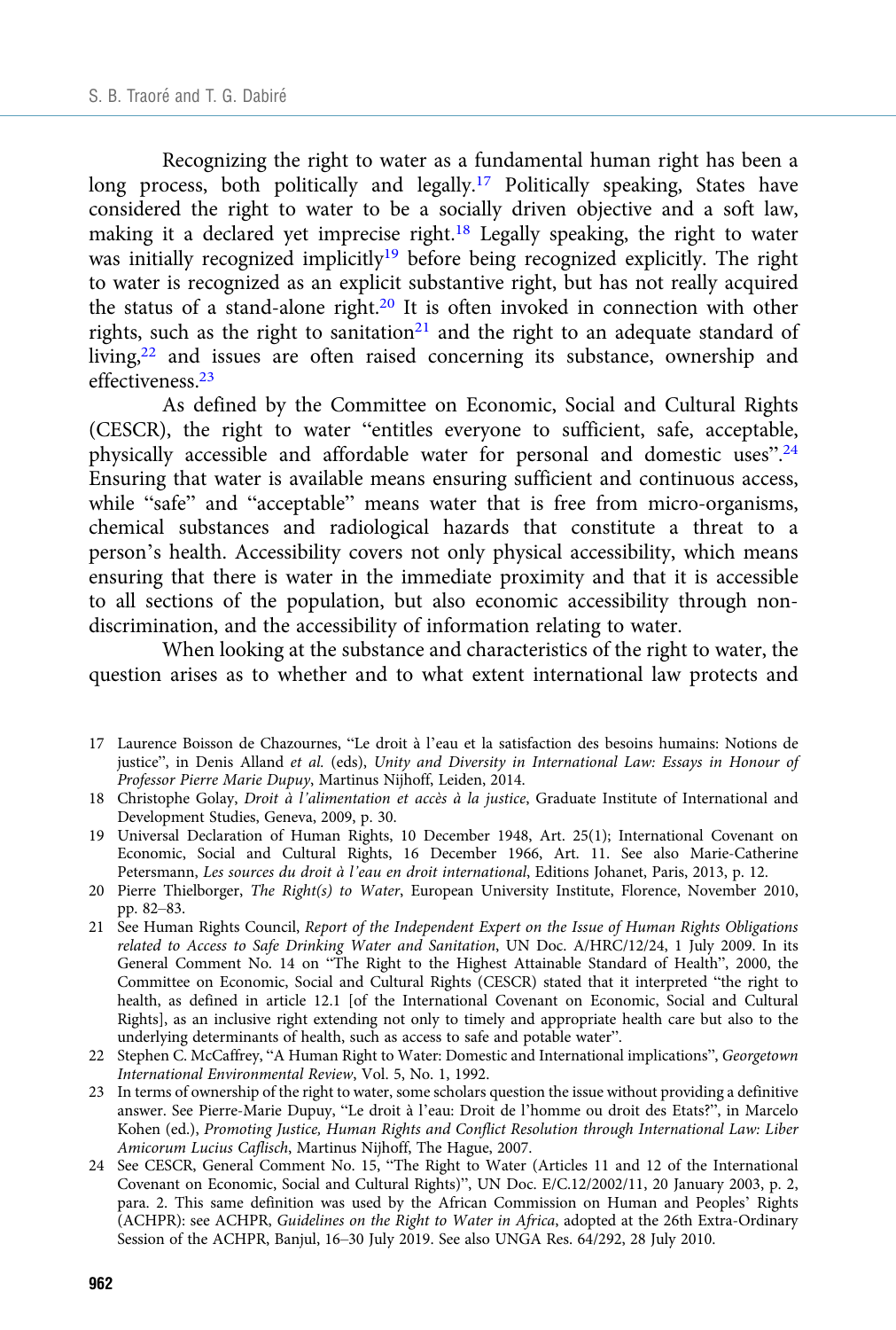Recognizing the right to water as a fundamental human right has been a long process, both politically and legally.<sup>17</sup> Politically speaking, States have considered the right to water to be a socially driven objective and a soft law, making it a declared yet imprecise right.18 Legally speaking, the right to water was initially recognized implicitly<sup>19</sup> before being recognized explicitly. The right to water is recognized as an explicit substantive right, but has not really acquired the status of a stand-alone right.20 It is often invoked in connection with other rights, such as the right to sanitation<sup>21</sup> and the right to an adequate standard of living,22 and issues are often raised concerning its substance, ownership and effectiveness.23

As defined by the Committee on Economic, Social and Cultural Rights (CESCR), the right to water "entitles everyone to sufficient, safe, acceptable, physically accessible and affordable water for personal and domestic uses".<sup>24</sup> Ensuring that water is available means ensuring sufficient and continuous access, while "safe" and "acceptable" means water that is free from micro-organisms, chemical substances and radiological hazards that constitute a threat to a person's health. Accessibility covers not only physical accessibility, which means ensuring that there is water in the immediate proximity and that it is accessible to all sections of the population, but also economic accessibility through nondiscrimination, and the accessibility of information relating to water.

When looking at the substance and characteristics of the right to water, the question arises as to whether and to what extent international law protects and

- 17 Laurence Boisson de Chazournes, "Le droit à l'eau et la satisfaction des besoins humains: Notions de justice", in Denis Alland et al. (eds), Unity and Diversity in International Law: Essays in Honour of Professor Pierre Marie Dupuy, Martinus Nijhoff, Leiden, 2014.
- 18 Christophe Golay, Droit à l'alimentation et accès à la justice, Graduate Institute of International and Development Studies, Geneva, 2009, p. 30.
- 19 Universal Declaration of Human Rights, 10 December 1948, Art. 25(1); International Covenant on Economic, Social and Cultural Rights, 16 December 1966, Art. 11. See also Marie-Catherine Petersmann, Les sources du droit à l'eau en droit international, Editions Johanet, Paris, 2013, p. 12.
- 20 Pierre Thielborger, The Right(s) to Water, European University Institute, Florence, November 2010, pp. 82–83.
- 21 See Human Rights Council, Report of the Independent Expert on the Issue of Human Rights Obligations related to Access to Safe Drinking Water and Sanitation, UN Doc. A/HRC/12/24, 1 July 2009. In its General Comment No. 14 on "The Right to the Highest Attainable Standard of Health", 2000, the Committee on Economic, Social and Cultural Rights (CESCR) stated that it interpreted "the right to health, as defined in article 12.1 [of the International Covenant on Economic, Social and Cultural Rights], as an inclusive right extending not only to timely and appropriate health care but also to the underlying determinants of health, such as access to safe and potable water".
- 22 Stephen C. McCaffrey, "A Human Right to Water: Domestic and International implications", Georgetown International Environmental Review, Vol. 5, No. 1, 1992.
- 23 In terms of ownership of the right to water, some scholars question the issue without providing a definitive answer. See Pierre-Marie Dupuy, "Le droit à l'eau: Droit de l'homme ou droit des Etats?", in Marcelo Kohen (ed.), Promoting Justice, Human Rights and Conflict Resolution through International Law: Liber Amicorum Lucius Caflisch, Martinus Nijhoff, The Hague, 2007.
- 24 See CESCR, General Comment No. 15, "The Right to Water (Articles 11 and 12 of the International Covenant on Economic, Social and Cultural Rights)", UN Doc. E/C.12/2002/11, 20 January 2003, p. 2, para. 2. This same definition was used by the African Commission on Human and Peoples' Rights (ACHPR): see ACHPR, Guidelines on the Right to Water in Africa, adopted at the 26th Extra-Ordinary Session of the ACHPR, Banjul, 16–30 July 2019. See also UNGA Res. 64/292, 28 July 2010.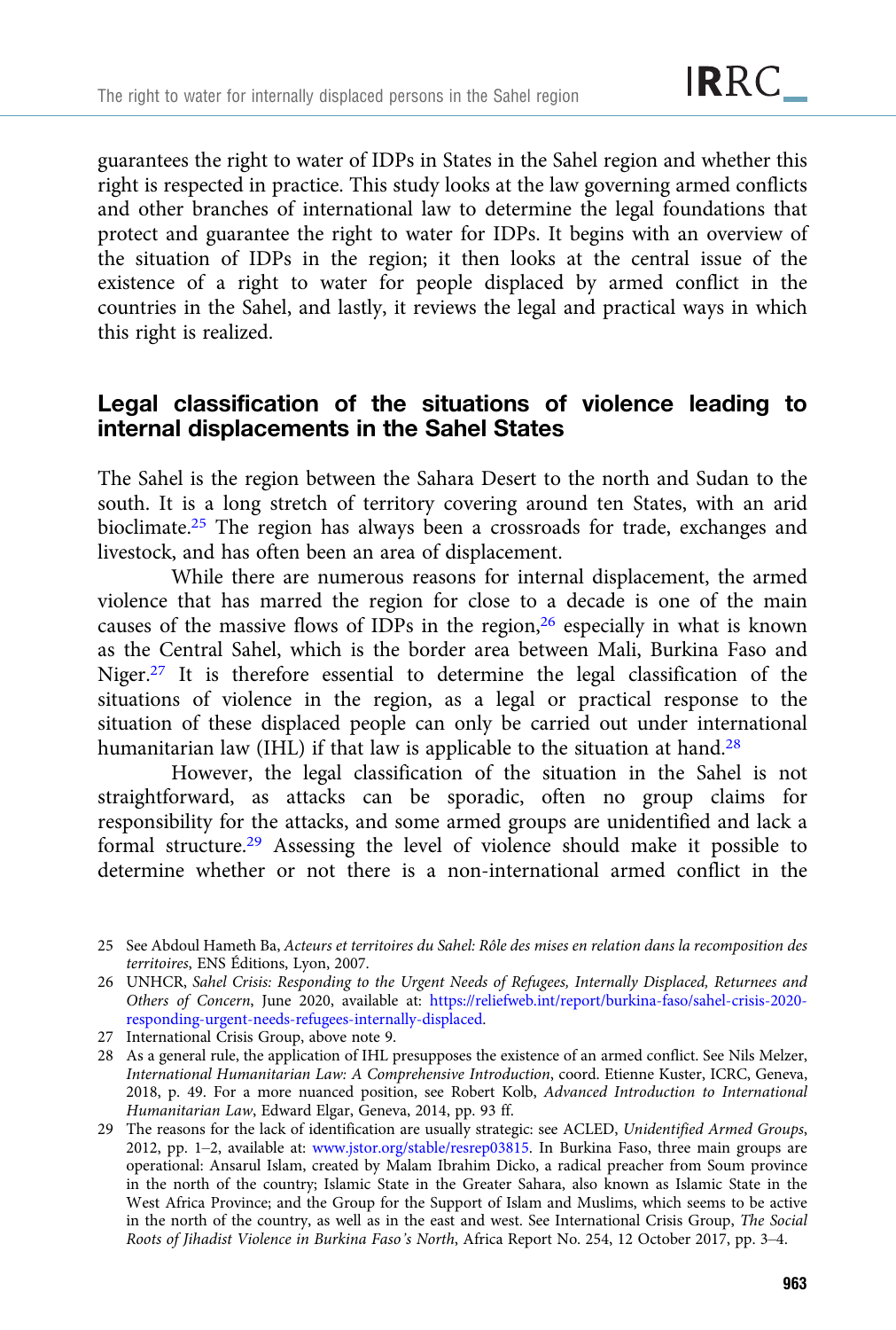guarantees the right to water of IDPs in States in the Sahel region and whether this right is respected in practice. This study looks at the law governing armed conflicts and other branches of international law to determine the legal foundations that protect and guarantee the right to water for IDPs. It begins with an overview of the situation of IDPs in the region; it then looks at the central issue of the existence of a right to water for people displaced by armed conflict in the countries in the Sahel, and lastly, it reviews the legal and practical ways in which this right is realized.

# Legal classification of the situations of violence leading to internal displacements in the Sahel States

The Sahel is the region between the Sahara Desert to the north and Sudan to the south. It is a long stretch of territory covering around ten States, with an arid bioclimate.25 The region has always been a crossroads for trade, exchanges and livestock, and has often been an area of displacement.

While there are numerous reasons for internal displacement, the armed violence that has marred the region for close to a decade is one of the main causes of the massive flows of IDPs in the region, $26$  especially in what is known as the Central Sahel, which is the border area between Mali, Burkina Faso and Niger.27 It is therefore essential to determine the legal classification of the situations of violence in the region, as a legal or practical response to the situation of these displaced people can only be carried out under international humanitarian law (IHL) if that law is applicable to the situation at hand.<sup>28</sup>

However, the legal classification of the situation in the Sahel is not straightforward, as attacks can be sporadic, often no group claims for responsibility for the attacks, and some armed groups are unidentified and lack a formal structure.29 Assessing the level of violence should make it possible to determine whether or not there is a non-international armed conflict in the

<sup>25</sup> See Abdoul Hameth Ba, Acteurs et territoires du Sahel: Rôle des mises en relation dans la recomposition des territoires, ENS Éditions, Lyon, 2007.

<sup>26</sup> UNHCR, Sahel Crisis: Responding to the Urgent Needs of Refugees, Internally Displaced, Returnees and Others of Concern, June 2020, available at: [https://reliefweb.int/report/burkina-faso/sahel-crisis-2020](https://reliefweb.int/report/burkina-faso/sahel-crisis-2020-responding-urgent-needs-refugees-internally-displaced) [responding-urgent-needs-refugees-internally-displaced.](https://reliefweb.int/report/burkina-faso/sahel-crisis-2020-responding-urgent-needs-refugees-internally-displaced)

<sup>27</sup> International Crisis Group, above note 9.

<sup>28</sup> As a general rule, the application of IHL presupposes the existence of an armed conflict. See Nils Melzer, International Humanitarian Law: A Comprehensive Introduction, coord. Etienne Kuster, ICRC, Geneva, 2018, p. 49. For a more nuanced position, see Robert Kolb, Advanced Introduction to International Humanitarian Law, Edward Elgar, Geneva, 2014, pp. 93 ff.

<sup>29</sup> The reasons for the lack of identification are usually strategic: see ACLED, Unidentified Armed Groups, 2012, pp. 1–2, available at: [www.jstor.org/stable/resrep03815](http://www.jstor.org/stable/resrep03815). In Burkina Faso, three main groups are operational: Ansarul Islam, created by Malam Ibrahim Dicko, a radical preacher from Soum province in the north of the country; Islamic State in the Greater Sahara, also known as Islamic State in the West Africa Province; and the Group for the Support of Islam and Muslims, which seems to be active in the north of the country, as well as in the east and west. See International Crisis Group, The Social Roots of Jihadist Violence in Burkina Faso's North, Africa Report No. 254, 12 October 2017, pp. 3–4.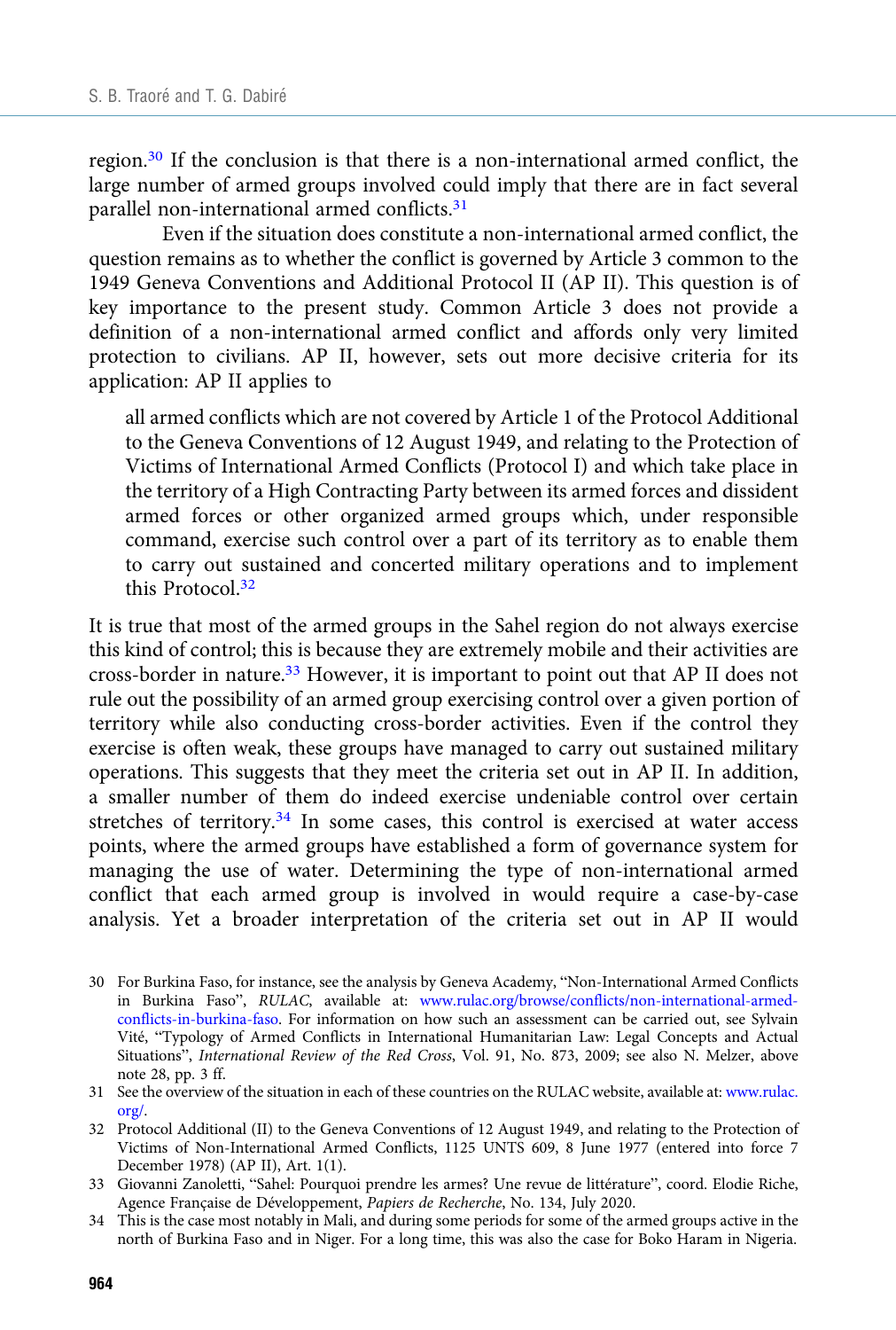region.30 If the conclusion is that there is a non-international armed conflict, the large number of armed groups involved could imply that there are in fact several parallel non-international armed conflicts.<sup>31</sup>

Even if the situation does constitute a non-international armed conflict, the question remains as to whether the conflict is governed by Article 3 common to the 1949 Geneva Conventions and Additional Protocol II (AP II). This question is of key importance to the present study. Common Article 3 does not provide a definition of a non-international armed conflict and affords only very limited protection to civilians. AP II, however, sets out more decisive criteria for its application: AP II applies to

all armed conflicts which are not covered by Article 1 of the Protocol Additional to the Geneva Conventions of 12 August 1949, and relating to the Protection of Victims of International Armed Conflicts (Protocol I) and which take place in the territory of a High Contracting Party between its armed forces and dissident armed forces or other organized armed groups which, under responsible command, exercise such control over a part of its territory as to enable them to carry out sustained and concerted military operations and to implement this Protocol.<sup>32</sup>

It is true that most of the armed groups in the Sahel region do not always exercise this kind of control; this is because they are extremely mobile and their activities are cross-border in nature.33 However, it is important to point out that AP II does not rule out the possibility of an armed group exercising control over a given portion of territory while also conducting cross-border activities. Even if the control they exercise is often weak, these groups have managed to carry out sustained military operations. This suggests that they meet the criteria set out in AP II. In addition, a smaller number of them do indeed exercise undeniable control over certain stretches of territory.34 In some cases, this control is exercised at water access points, where the armed groups have established a form of governance system for managing the use of water. Determining the type of non-international armed conflict that each armed group is involved in would require a case-by-case analysis. Yet a broader interpretation of the criteria set out in AP II would

33 Giovanni Zanoletti, "Sahel: Pourquoi prendre les armes? Une revue de littérature", coord. Elodie Riche, Agence Française de Développement, Papiers de Recherche, No. 134, July 2020.

<sup>30</sup> For Burkina Faso, for instance, see the analysis by Geneva Academy, "Non-International Armed Conflicts in Burkina Faso", RULAC, available at: [www.rulac.org/browse/conflicts/non-international-armed](https://www.rulac.org/browse/conflicts/non-international-armed-conflicts-in-burkina-faso)[conflicts-in-burkina-faso.](https://www.rulac.org/browse/conflicts/non-international-armed-conflicts-in-burkina-faso) For information on how such an assessment can be carried out, see Sylvain Vité, "Typology of Armed Conflicts in International Humanitarian Law: Legal Concepts and Actual Situations", International Review of the Red Cross, Vol. 91, No. 873, 2009; see also N. Melzer, above note 28, pp. 3 ff.

<sup>31</sup> See the overview of the situation in each of these countries on the RULAC website, available at: [www.rulac.](https://www.rulac.org/) [org/.](https://www.rulac.org/)

<sup>32</sup> Protocol Additional (II) to the Geneva Conventions of 12 August 1949, and relating to the Protection of Victims of Non-International Armed Conflicts, 1125 UNTS 609, 8 June 1977 (entered into force 7 December 1978) (AP II), Art. 1(1).

<sup>34</sup> This is the case most notably in Mali, and during some periods for some of the armed groups active in the north of Burkina Faso and in Niger. For a long time, this was also the case for Boko Haram in Nigeria.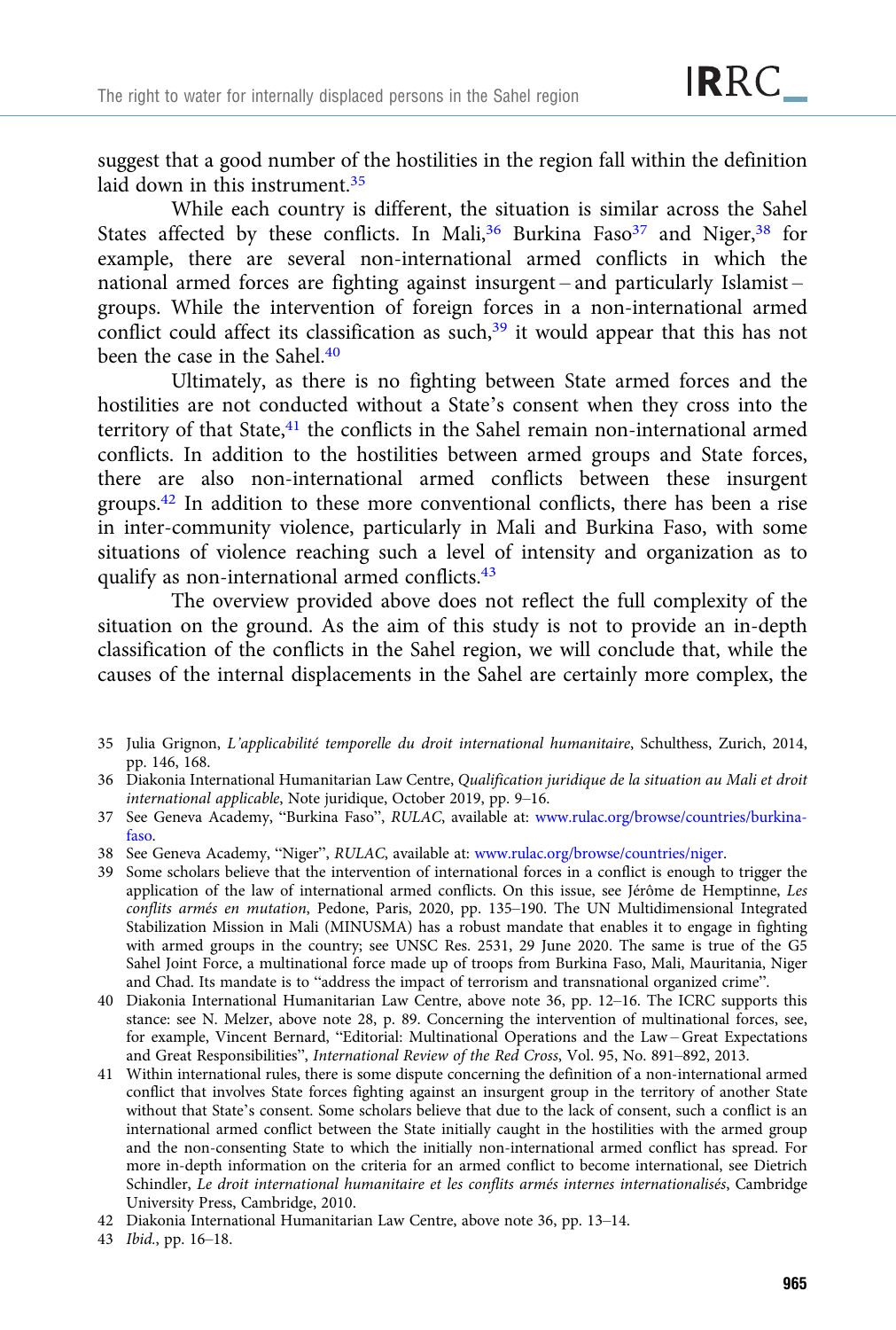suggest that a good number of the hostilities in the region fall within the definition laid down in this instrument.<sup>35</sup>

While each country is different, the situation is similar across the Sahel States affected by these conflicts. In Mali,<sup>36</sup> Burkina Faso<sup>37</sup> and Niger,<sup>38</sup> for example, there are several non-international armed conflicts in which the national armed forces are fighting against insurgent – and particularly Islamist – groups. While the intervention of foreign forces in a non-international armed conflict could affect its classification as such, $39$  it would appear that this has not been the case in the Sahel.<sup>40</sup>

Ultimately, as there is no fighting between State armed forces and the hostilities are not conducted without a State's consent when they cross into the territory of that State,<sup>41</sup> the conflicts in the Sahel remain non-international armed conflicts. In addition to the hostilities between armed groups and State forces, there are also non-international armed conflicts between these insurgent groups.42 In addition to these more conventional conflicts, there has been a rise in inter-community violence, particularly in Mali and Burkina Faso, with some situations of violence reaching such a level of intensity and organization as to qualify as non-international armed conflicts.43

The overview provided above does not reflect the full complexity of the situation on the ground. As the aim of this study is not to provide an in-depth classification of the conflicts in the Sahel region, we will conclude that, while the causes of the internal displacements in the Sahel are certainly more complex, the

- 35 Julia Grignon, L'applicabilité temporelle du droit international humanitaire, Schulthess, Zurich, 2014, pp. 146, 168.
- 36 Diakonia International Humanitarian Law Centre, Qualification juridique de la situation au Mali et droit international applicable, Note juridique, October 2019, pp. 9–16.
- 37 See Geneva Academy, "Burkina Faso", RULAC, available at: [www.rulac.org/browse/countries/burkina](https://www.rulac.org/browse/countries/burkina-faso)[faso.](https://www.rulac.org/browse/countries/burkina-faso)
- 38 See Geneva Academy, "Niger", RULAC, available at: [www.rulac.org/browse/countries/niger.](https://www.rulac.org/browse/countries/niger)
- 39 Some scholars believe that the intervention of international forces in a conflict is enough to trigger the application of the law of international armed conflicts. On this issue, see Jérôme de Hemptinne, Les conflits armés en mutation, Pedone, Paris, 2020, pp. 135–190. The UN Multidimensional Integrated Stabilization Mission in Mali (MINUSMA) has a robust mandate that enables it to engage in fighting with armed groups in the country; see UNSC Res. 2531, 29 June 2020. The same is true of the G5 Sahel Joint Force, a multinational force made up of troops from Burkina Faso, Mali, Mauritania, Niger and Chad. Its mandate is to "address the impact of terrorism and transnational organized crime".
- 40 Diakonia International Humanitarian Law Centre, above note 36, pp. 12–16. The ICRC supports this stance: see N. Melzer, above note 28, p. 89. Concerning the intervention of multinational forces, see, for example, Vincent Bernard, "Editorial: Multinational Operations and the Law – Great Expectations and Great Responsibilities", International Review of the Red Cross, Vol. 95, No. 891–892, 2013.
- 41 Within international rules, there is some dispute concerning the definition of a non-international armed conflict that involves State forces fighting against an insurgent group in the territory of another State without that State's consent. Some scholars believe that due to the lack of consent, such a conflict is an international armed conflict between the State initially caught in the hostilities with the armed group and the non-consenting State to which the initially non-international armed conflict has spread. For more in-depth information on the criteria for an armed conflict to become international, see Dietrich Schindler, Le droit international humanitaire et les conflits armés internes internationalisés, Cambridge University Press, Cambridge, 2010.
- 42 Diakonia International Humanitarian Law Centre, above note 36, pp. 13–14.
- 43 Ibid., pp. 16–18.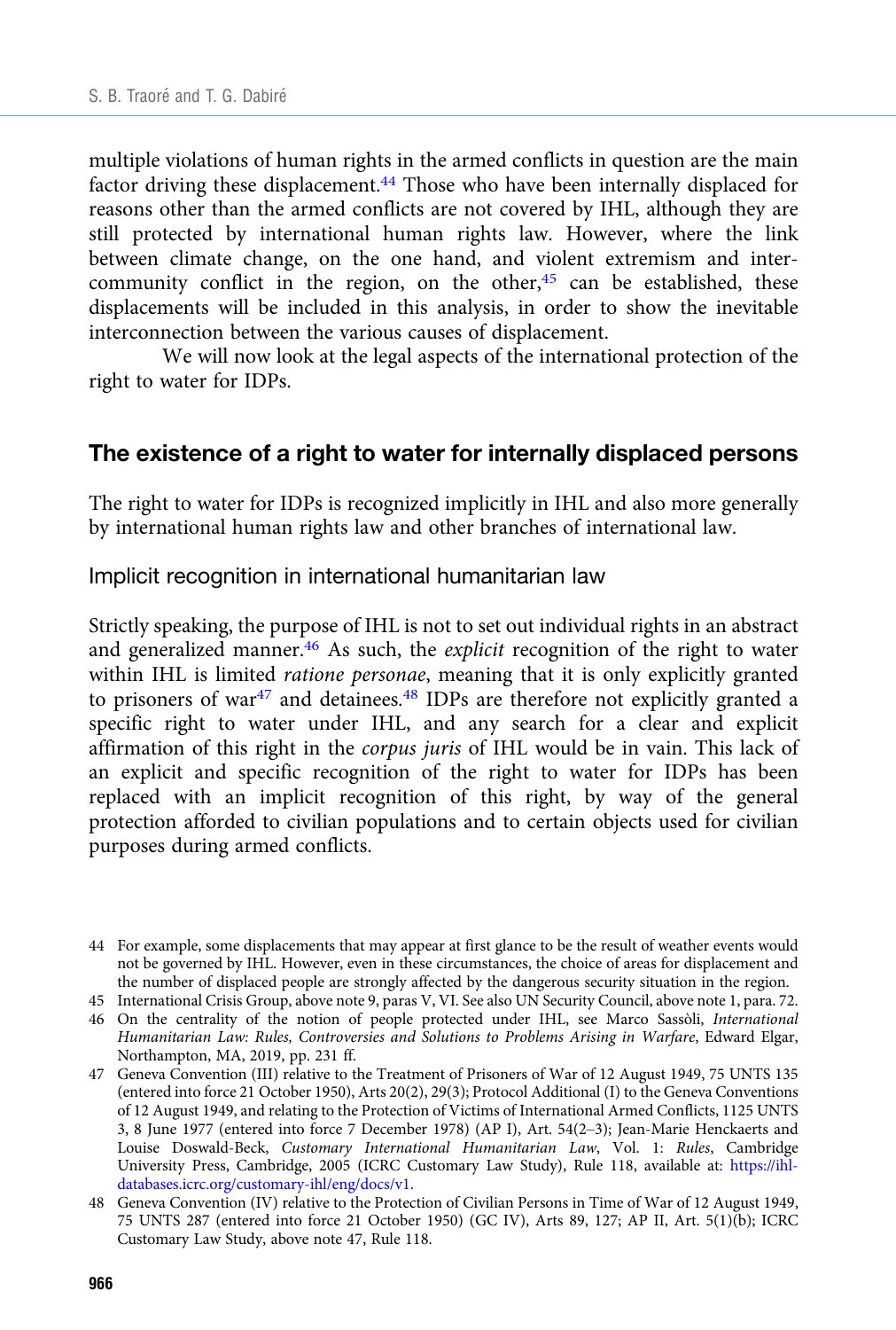multiple violations of human rights in the armed conflicts in question are the main factor driving these displacement.<sup>44</sup> Those who have been internally displaced for reasons other than the armed conflicts are not covered by IHL, although they are still protected by international human rights law. However, where the link between climate change, on the one hand, and violent extremism and intercommunity conflict in the region, on the other, $45$  can be established, these displacements will be included in this analysis, in order to show the inevitable interconnection between the various causes of displacement.

We will now look at the legal aspects of the international protection of the right to water for IDPs.

#### The existence of a right to water for internally displaced persons

The right to water for IDPs is recognized implicitly in IHL and also more generally by international human rights law and other branches of international law.

#### Implicit recognition in international humanitarian law

Strictly speaking, the purpose of IHL is not to set out individual rights in an abstract and generalized manner.<sup>46</sup> As such, the *explicit* recognition of the right to water within IHL is limited ratione personae, meaning that it is only explicitly granted to prisoners of war<sup>47</sup> and detainees.<sup>48</sup> IDPs are therefore not explicitly granted a specific right to water under IHL, and any search for a clear and explicit affirmation of this right in the corpus juris of IHL would be in vain. This lack of an explicit and specific recognition of the right to water for IDPs has been replaced with an implicit recognition of this right, by way of the general protection afforded to civilian populations and to certain objects used for civilian purposes during armed conflicts.

- 45 International Crisis Group, above note 9, paras V, VI. See also UN Security Council, above note 1, para. 72.
- 46 On the centrality of the notion of people protected under IHL, see Marco Sassòli, International Humanitarian Law: Rules, Controversies and Solutions to Problems Arising in Warfare, Edward Elgar, Northampton, MA, 2019, pp. 231 ff.

47 Geneva Convention (III) relative to the Treatment of Prisoners of War of 12 August 1949, 75 UNTS 135 (entered into force 21 October 1950), Arts 20(2), 29(3); Protocol Additional (I) to the Geneva Conventions of 12 August 1949, and relating to the Protection of Victims of International Armed Conflicts, 1125 UNTS 3, 8 June 1977 (entered into force 7 December 1978) (AP I), Art. 54(2–3); Jean-Marie Henckaerts and Louise Doswald-Beck, Customary International Humanitarian Law, Vol. 1: Rules, Cambridge University Press, Cambridge, 2005 (ICRC Customary Law Study), Rule 118, available at: [https://ihl](https://ihl-databases.icrc.org/customary-ihl/eng/docs/v1)[databases.icrc.org/customary-ihl/eng/docs/v1](https://ihl-databases.icrc.org/customary-ihl/eng/docs/v1).

<sup>44</sup> For example, some displacements that may appear at first glance to be the result of weather events would not be governed by IHL. However, even in these circumstances, the choice of areas for displacement and the number of displaced people are strongly affected by the dangerous security situation in the region.

<sup>48</sup> Geneva Convention (IV) relative to the Protection of Civilian Persons in Time of War of 12 August 1949, 75 UNTS 287 (entered into force 21 October 1950) (GC IV), Arts 89, 127; AP II, Art. 5(1)(b); ICRC Customary Law Study, above note 47, Rule 118.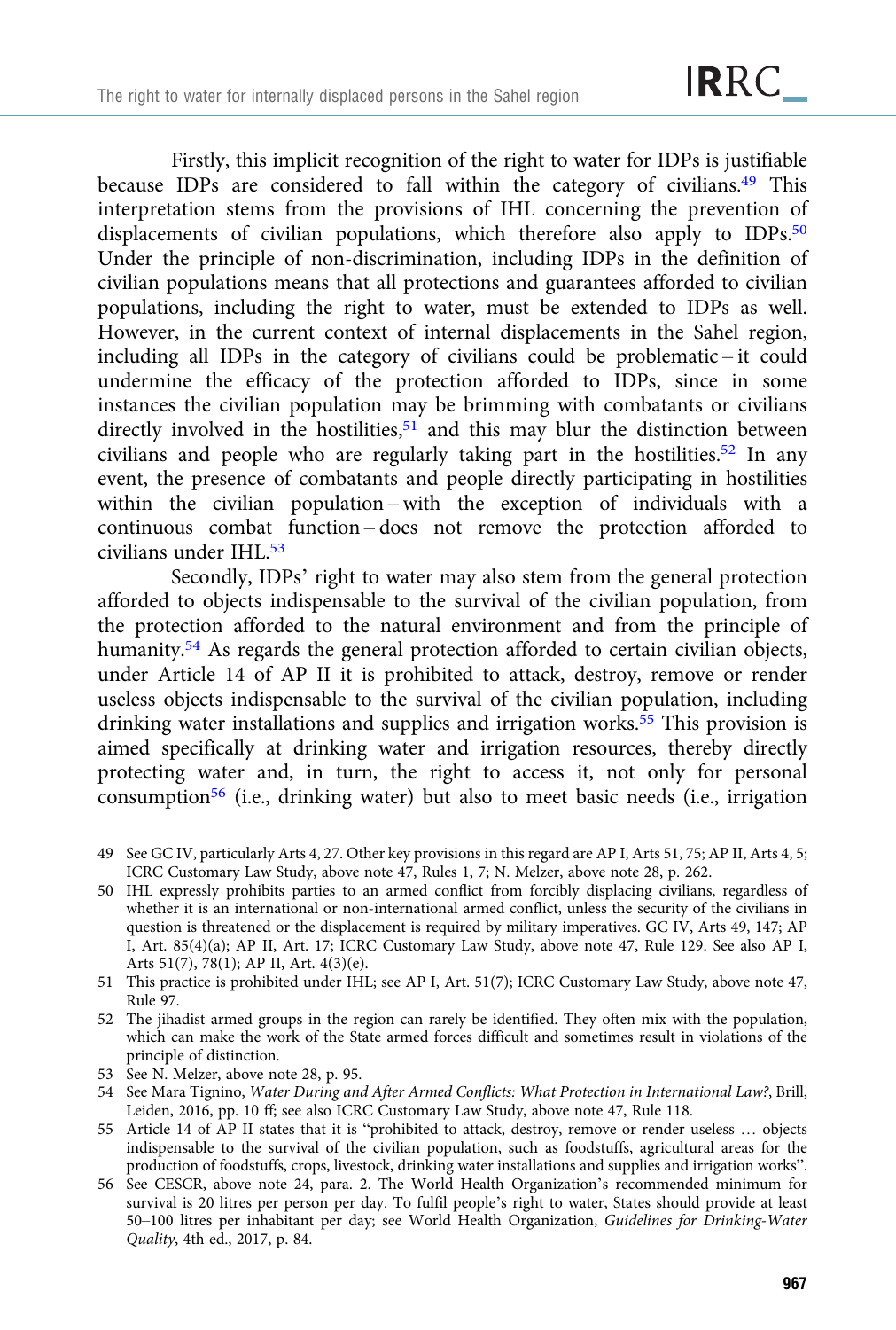Firstly, this implicit recognition of the right to water for IDPs is justifiable because IDPs are considered to fall within the category of civilians.<sup>49</sup> This interpretation stems from the provisions of IHL concerning the prevention of displacements of civilian populations, which therefore also apply to IDPs.<sup>50</sup> Under the principle of non-discrimination, including IDPs in the definition of civilian populations means that all protections and guarantees afforded to civilian populations, including the right to water, must be extended to IDPs as well. However, in the current context of internal displacements in the Sahel region, including all IDPs in the category of civilians could be problematic – it could undermine the efficacy of the protection afforded to IDPs, since in some instances the civilian population may be brimming with combatants or civilians directly involved in the hostilities, $51$  and this may blur the distinction between civilians and people who are regularly taking part in the hostilities.52 In any event, the presence of combatants and people directly participating in hostilities within the civilian population – with the exception of individuals with a continuous combat function – does not remove the protection afforded to civilians under IHL.<sup>53</sup>

Secondly, IDPs' right to water may also stem from the general protection afforded to objects indispensable to the survival of the civilian population, from the protection afforded to the natural environment and from the principle of humanity.<sup>54</sup> As regards the general protection afforded to certain civilian objects, under Article 14 of AP II it is prohibited to attack, destroy, remove or render useless objects indispensable to the survival of the civilian population, including drinking water installations and supplies and irrigation works.<sup>55</sup> This provision is aimed specifically at drinking water and irrigation resources, thereby directly protecting water and, in turn, the right to access it, not only for personal consumption<sup>56</sup> (i.e., drinking water) but also to meet basic needs (i.e., irrigation

- 49 See GC IV, particularly Arts 4, 27. Other key provisions in this regard are AP I, Arts 51, 75; AP II, Arts 4, 5; ICRC Customary Law Study, above note 47, Rules 1, 7; N. Melzer, above note 28, p. 262.
- 50 IHL expressly prohibits parties to an armed conflict from forcibly displacing civilians, regardless of whether it is an international or non-international armed conflict, unless the security of the civilians in question is threatened or the displacement is required by military imperatives. GC IV, Arts 49, 147; AP I, Art. 85(4)(a); AP II, Art. 17; ICRC Customary Law Study, above note 47, Rule 129. See also AP I, Arts 51(7), 78(1); AP II, Art. 4(3)(e).
- 51 This practice is prohibited under IHL; see AP I, Art. 51(7); ICRC Customary Law Study, above note 47, Rule 97.
- 52 The jihadist armed groups in the region can rarely be identified. They often mix with the population, which can make the work of the State armed forces difficult and sometimes result in violations of the principle of distinction.
- 53 See N. Melzer, above note 28, p. 95.
- 54 See Mara Tignino, Water During and After Armed Conflicts: What Protection in International Law?, Brill, Leiden, 2016, pp. 10 ff; see also ICRC Customary Law Study, above note 47, Rule 118.
- 55 Article 14 of AP II states that it is "prohibited to attack, destroy, remove or render useless … objects indispensable to the survival of the civilian population, such as foodstuffs, agricultural areas for the production of foodstuffs, crops, livestock, drinking water installations and supplies and irrigation works".
- 56 See CESCR, above note 24, para. 2. The World Health Organization's recommended minimum for survival is 20 litres per person per day. To fulfil people's right to water, States should provide at least 50–100 litres per inhabitant per day; see World Health Organization, Guidelines for Drinking-Water Quality, 4th ed., 2017, p. 84.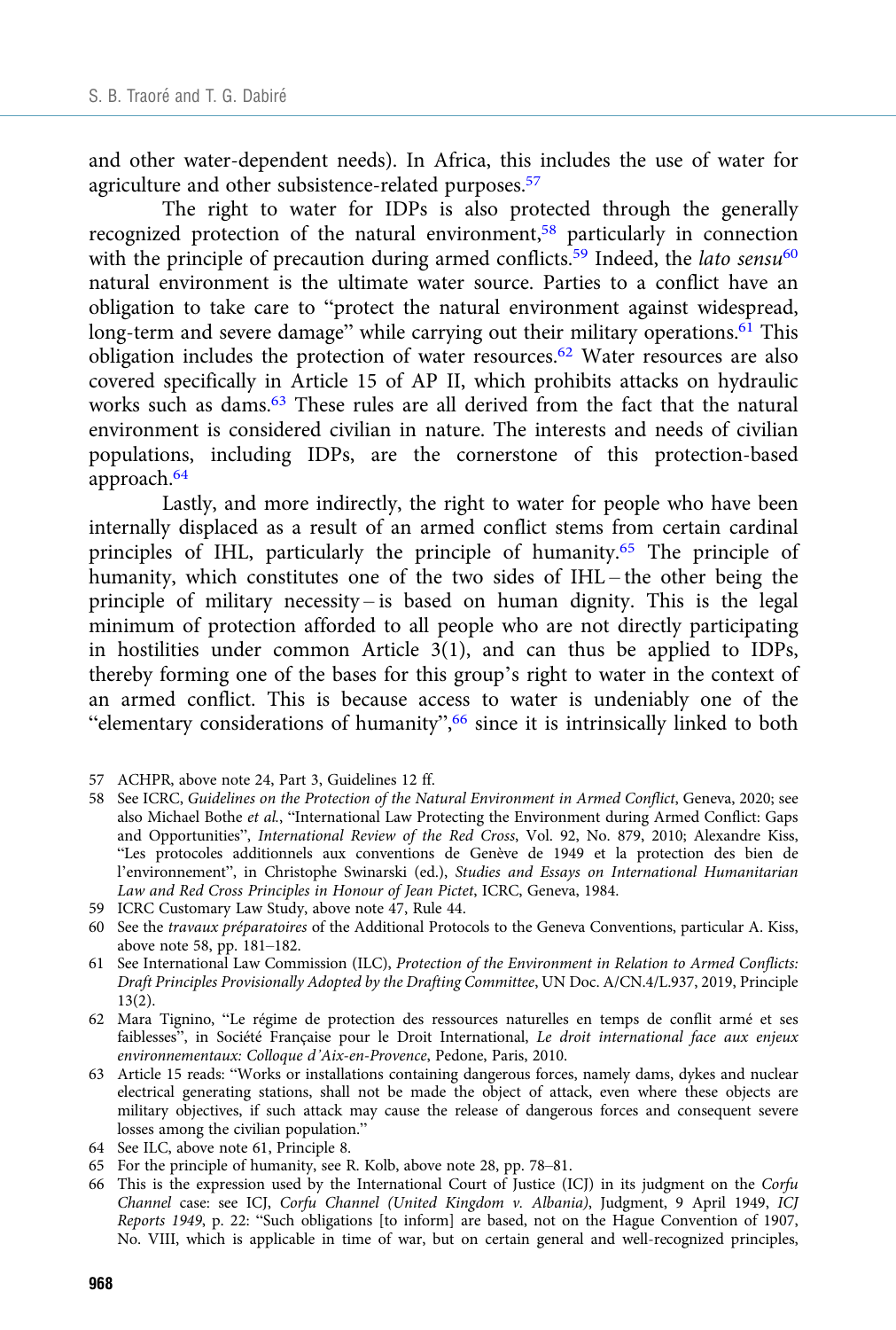and other water-dependent needs). In Africa, this includes the use of water for agriculture and other subsistence-related purposes.57

The right to water for IDPs is also protected through the generally recognized protection of the natural environment,58 particularly in connection with the principle of precaution during armed conflicts.<sup>59</sup> Indeed, the *lato* sensu<sup>60</sup> natural environment is the ultimate water source. Parties to a conflict have an obligation to take care to "protect the natural environment against widespread, long-term and severe damage" while carrying out their military operations. $61$  This obligation includes the protection of water resources.62 Water resources are also covered specifically in Article 15 of AP II, which prohibits attacks on hydraulic works such as dams.<sup>63</sup> These rules are all derived from the fact that the natural environment is considered civilian in nature. The interests and needs of civilian populations, including IDPs, are the cornerstone of this protection-based approach.64

Lastly, and more indirectly, the right to water for people who have been internally displaced as a result of an armed conflict stems from certain cardinal principles of IHL, particularly the principle of humanity.65 The principle of humanity, which constitutes one of the two sides of IHL – the other being the principle of military necessity – is based on human dignity. This is the legal minimum of protection afforded to all people who are not directly participating in hostilities under common Article 3(1), and can thus be applied to IDPs, thereby forming one of the bases for this group's right to water in the context of an armed conflict. This is because access to water is undeniably one of the "elementary considerations of humanity",<sup>66</sup> since it is intrinsically linked to both

- 58 See ICRC, Guidelines on the Protection of the Natural Environment in Armed Conflict, Geneva, 2020; see also Michael Bothe et al., "International Law Protecting the Environment during Armed Conflict: Gaps and Opportunities", International Review of the Red Cross, Vol. 92, No. 879, 2010; Alexandre Kiss, "Les protocoles additionnels aux conventions de Genève de 1949 et la protection des bien de l'environnement", in Christophe Swinarski (ed.), Studies and Essays on International Humanitarian Law and Red Cross Principles in Honour of Jean Pictet, ICRC, Geneva, 1984.
- 59 ICRC Customary Law Study, above note 47, Rule 44.
- 60 See the travaux préparatoires of the Additional Protocols to the Geneva Conventions, particular A. Kiss, above note 58, pp. 181–182.
- 61 See International Law Commission (ILC), Protection of the Environment in Relation to Armed Conflicts: Draft Principles Provisionally Adopted by the Drafting Committee, UN Doc. A/CN.4/L.937, 2019, Principle 13(2).
- 62 Mara Tignino, "Le régime de protection des ressources naturelles en temps de conflit armé et ses faiblesses", in Société Française pour le Droit International, Le droit international face aux enjeux environnementaux: Colloque d'Aix-en-Provence, Pedone, Paris, 2010.
- 63 Article 15 reads: "Works or installations containing dangerous forces, namely dams, dykes and nuclear electrical generating stations, shall not be made the object of attack, even where these objects are military objectives, if such attack may cause the release of dangerous forces and consequent severe losses among the civilian population."
- 64 See ILC, above note 61, Principle 8.
- 65 For the principle of humanity, see R. Kolb, above note 28, pp. 78–81.
- 66 This is the expression used by the International Court of Justice (ICJ) in its judgment on the Corfu Channel case: see ICJ, Corfu Channel (United Kingdom v. Albania), Judgment, 9 April 1949, ICJ Reports 1949, p. 22: "Such obligations [to inform] are based, not on the Hague Convention of 1907, No. VIII, which is applicable in time of war, but on certain general and well-recognized principles,

<sup>57</sup> ACHPR, above note 24, Part 3, Guidelines 12 ff.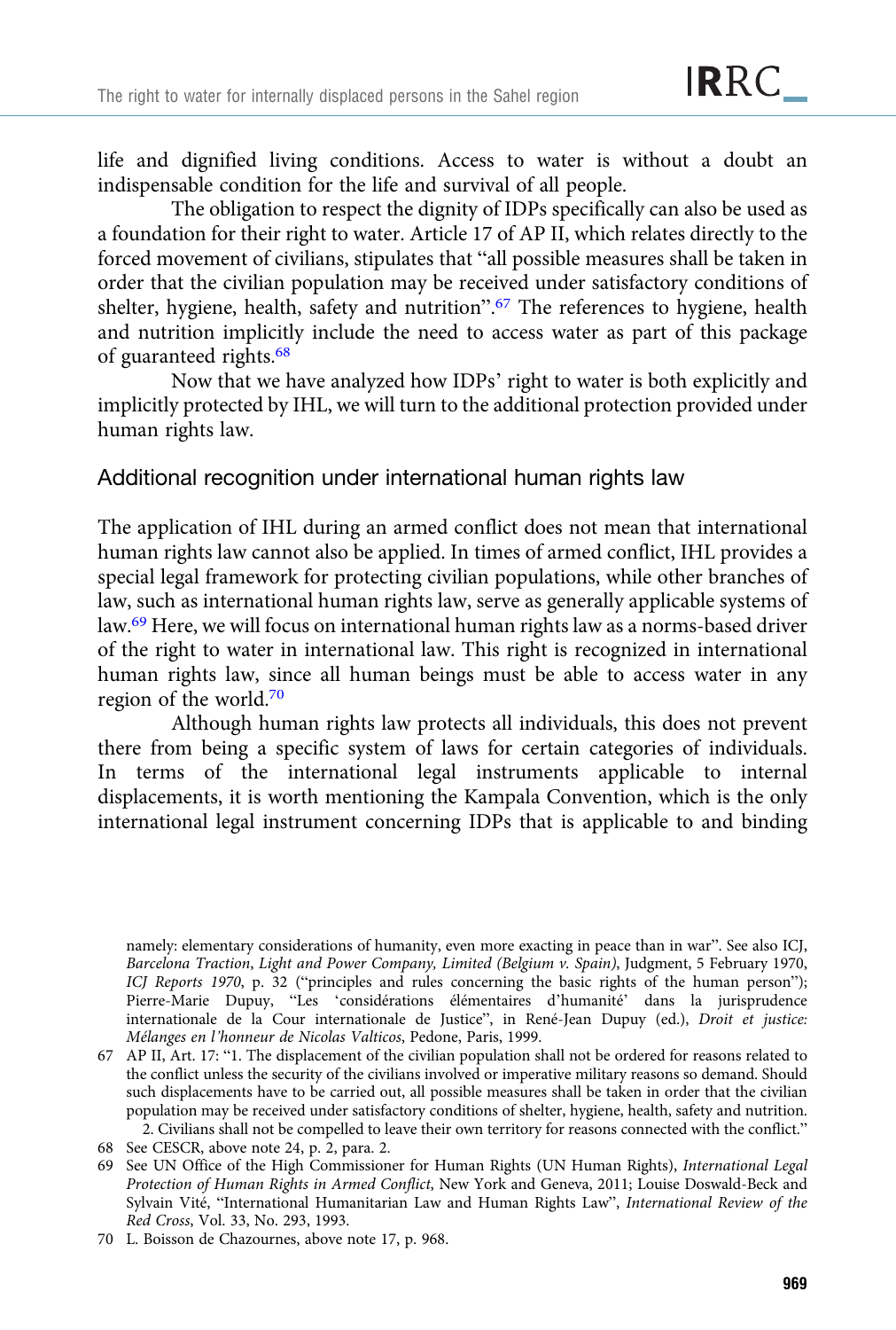life and dignified living conditions. Access to water is without a doubt an indispensable condition for the life and survival of all people.

The obligation to respect the dignity of IDPs specifically can also be used as a foundation for their right to water. Article 17 of AP II, which relates directly to the forced movement of civilians, stipulates that "all possible measures shall be taken in order that the civilian population may be received under satisfactory conditions of shelter, hygiene, health, safety and nutrition".<sup>67</sup> The references to hygiene, health and nutrition implicitly include the need to access water as part of this package of guaranteed rights.68

Now that we have analyzed how IDPs' right to water is both explicitly and implicitly protected by IHL, we will turn to the additional protection provided under human rights law.

Additional recognition under international human rights law

The application of IHL during an armed conflict does not mean that international human rights law cannot also be applied. In times of armed conflict, IHL provides a special legal framework for protecting civilian populations, while other branches of law, such as international human rights law, serve as generally applicable systems of law.69 Here, we will focus on international human rights law as a norms-based driver of the right to water in international law. This right is recognized in international human rights law, since all human beings must be able to access water in any region of the world.70

Although human rights law protects all individuals, this does not prevent there from being a specific system of laws for certain categories of individuals. In terms of the international legal instruments applicable to internal displacements, it is worth mentioning the Kampala Convention, which is the only international legal instrument concerning IDPs that is applicable to and binding

namely: elementary considerations of humanity, even more exacting in peace than in war". See also ICJ, Barcelona Traction, Light and Power Company, Limited (Belgium v. Spain), Judgment, 5 February 1970, ICJ Reports 1970, p. 32 ("principles and rules concerning the basic rights of the human person"); Pierre-Marie Dupuy, "Les 'considérations élémentaires d'humanité' dans la jurisprudence internationale de la Cour internationale de Justice", in René-Jean Dupuy (ed.), Droit et justice: Mélanges en l'honneur de Nicolas Valticos, Pedone, Paris, 1999.

<sup>67</sup> AP II, Art. 17: "1. The displacement of the civilian population shall not be ordered for reasons related to the conflict unless the security of the civilians involved or imperative military reasons so demand. Should such displacements have to be carried out, all possible measures shall be taken in order that the civilian population may be received under satisfactory conditions of shelter, hygiene, health, safety and nutrition. 2. Civilians shall not be compelled to leave their own territory for reasons connected with the conflict."

<sup>68</sup> See CESCR, above note 24, p. 2, para. 2.

<sup>69</sup> See UN Office of the High Commissioner for Human Rights (UN Human Rights), International Legal Protection of Human Rights in Armed Conflict, New York and Geneva, 2011; Louise Doswald-Beck and Sylvain Vité, "International Humanitarian Law and Human Rights Law", International Review of the Red Cross, Vol. 33, No. 293, 1993.

<sup>70</sup> L. Boisson de Chazournes, above note 17, p. 968.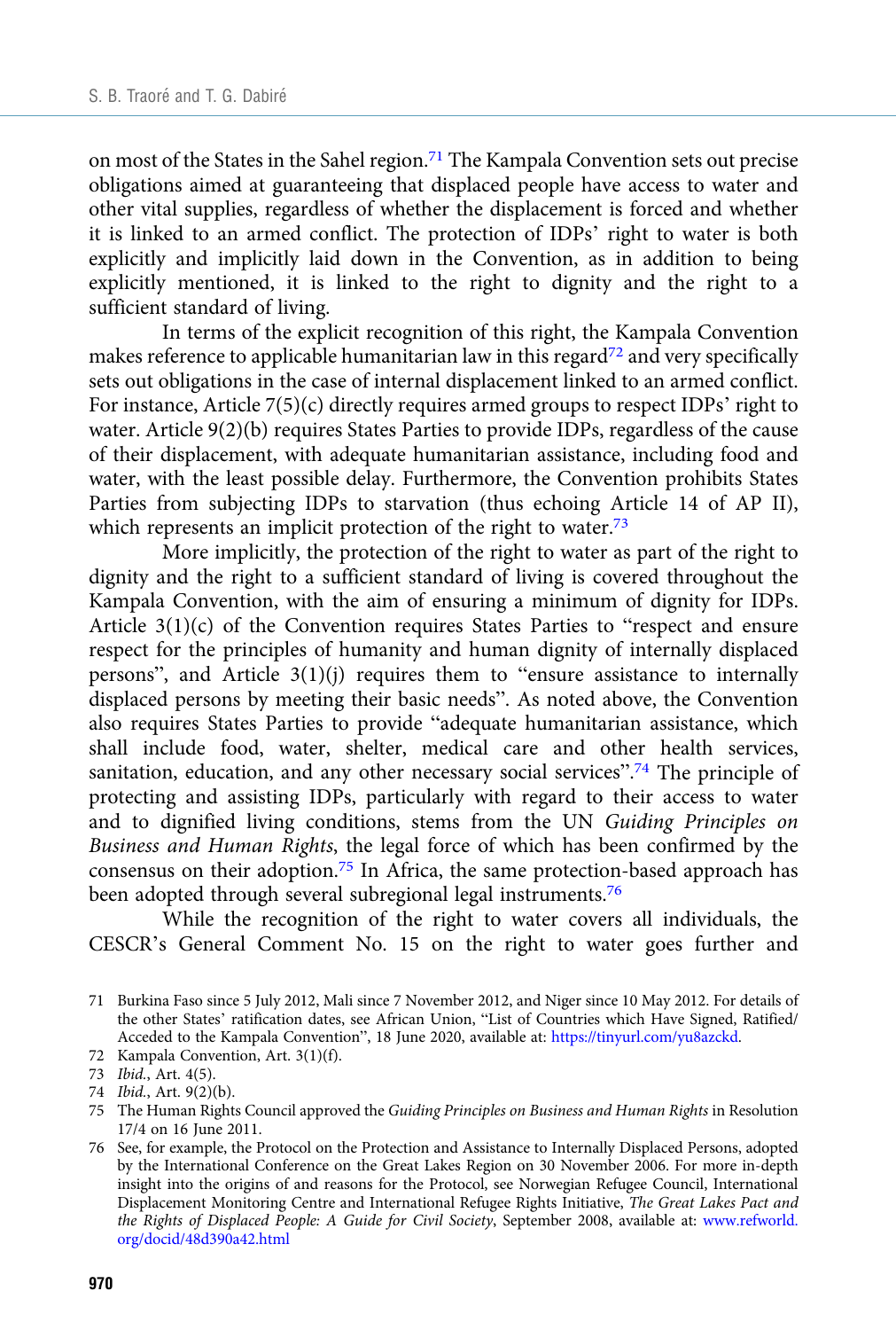on most of the States in the Sahel region.<sup>71</sup> The Kampala Convention sets out precise obligations aimed at guaranteeing that displaced people have access to water and other vital supplies, regardless of whether the displacement is forced and whether it is linked to an armed conflict. The protection of IDPs' right to water is both explicitly and implicitly laid down in the Convention, as in addition to being explicitly mentioned, it is linked to the right to dignity and the right to a sufficient standard of living.

In terms of the explicit recognition of this right, the Kampala Convention makes reference to applicable humanitarian law in this regard<sup>72</sup> and very specifically sets out obligations in the case of internal displacement linked to an armed conflict. For instance, Article 7(5)(c) directly requires armed groups to respect IDPs' right to water. Article 9(2)(b) requires States Parties to provide IDPs, regardless of the cause of their displacement, with adequate humanitarian assistance, including food and water, with the least possible delay. Furthermore, the Convention prohibits States Parties from subjecting IDPs to starvation (thus echoing Article 14 of AP II), which represents an implicit protection of the right to water. $73$ 

More implicitly, the protection of the right to water as part of the right to dignity and the right to a sufficient standard of living is covered throughout the Kampala Convention, with the aim of ensuring a minimum of dignity for IDPs. Article 3(1)(c) of the Convention requires States Parties to "respect and ensure respect for the principles of humanity and human dignity of internally displaced persons", and Article 3(1)(j) requires them to "ensure assistance to internally displaced persons by meeting their basic needs". As noted above, the Convention also requires States Parties to provide "adequate humanitarian assistance, which shall include food, water, shelter, medical care and other health services, sanitation, education, and any other necessary social services".<sup>74</sup> The principle of protecting and assisting IDPs, particularly with regard to their access to water and to dignified living conditions, stems from the UN Guiding Principles on Business and Human Rights, the legal force of which has been confirmed by the consensus on their adoption.75 In Africa, the same protection-based approach has been adopted through several subregional legal instruments.<sup>76</sup>

While the recognition of the right to water covers all individuals, the CESCR's General Comment No. 15 on the right to water goes further and

72 Kampala Convention, Art. 3(1)(f).

<sup>71</sup> Burkina Faso since 5 July 2012, Mali since 7 November 2012, and Niger since 10 May 2012. For details of the other States' ratification dates, see African Union, "List of Countries which Have Signed, Ratified/ Acceded to the Kampala Convention", 18 June 2020, available at: <https://tinyurl.com/yu8azckd>.

<sup>73</sup> Ibid., Art. 4(5).

<sup>74</sup> Ibid., Art. 9(2)(b).

<sup>75</sup> The Human Rights Council approved the Guiding Principles on Business and Human Rights in Resolution 17/4 on 16 June 2011.

<sup>76</sup> See, for example, the Protocol on the Protection and Assistance to Internally Displaced Persons, adopted by the International Conference on the Great Lakes Region on 30 November 2006. For more in-depth insight into the origins of and reasons for the Protocol, see Norwegian Refugee Council, International Displacement Monitoring Centre and International Refugee Rights Initiative, The Great Lakes Pact and the Rights of Displaced People: A Guide for Civil Society, September 2008, available at: [www.refworld.](https://www.refworld.org/docid/48d390a42.html) [org/docid/48d390a42.html](https://www.refworld.org/docid/48d390a42.html)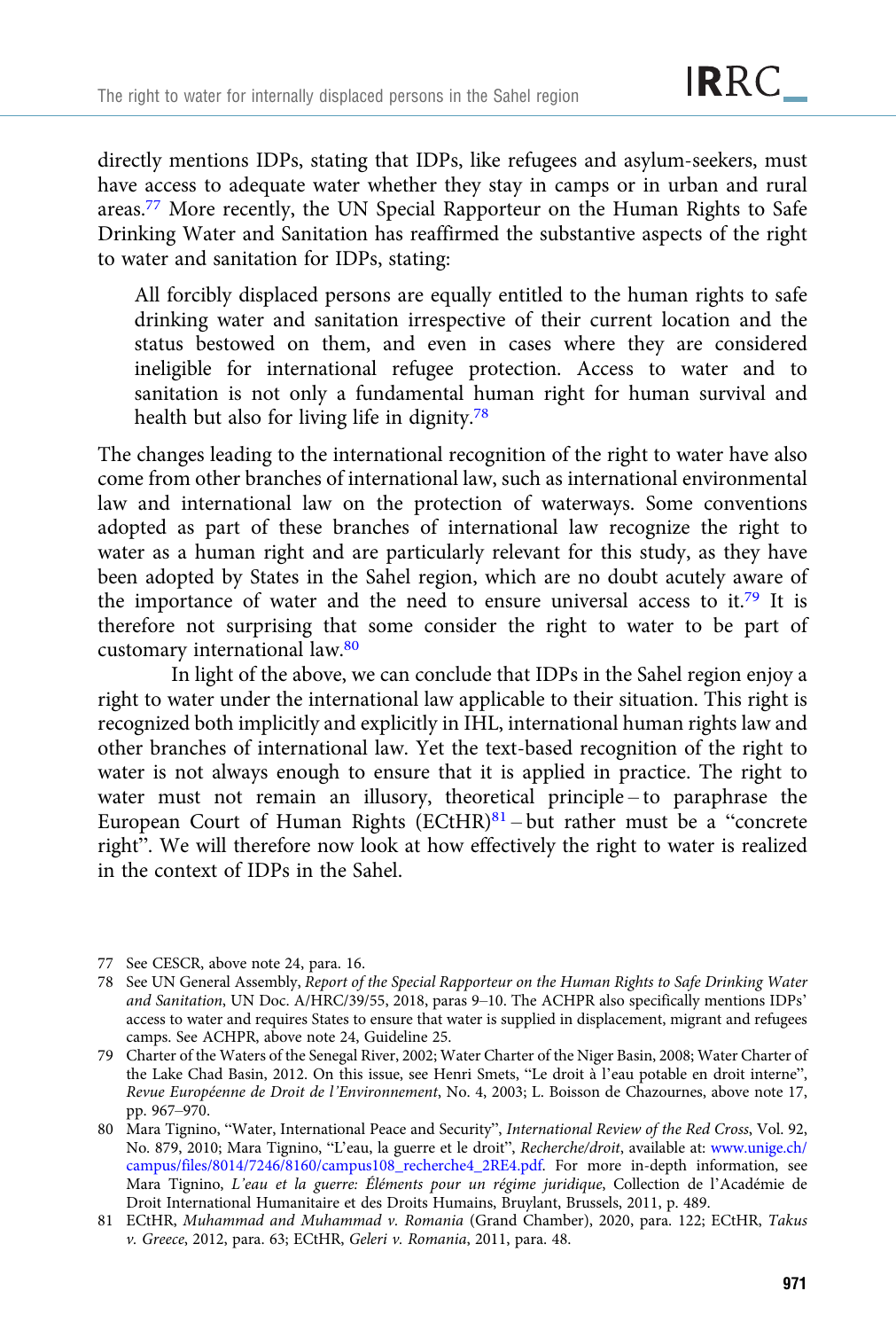directly mentions IDPs, stating that IDPs, like refugees and asylum-seekers, must have access to adequate water whether they stay in camps or in urban and rural areas.77 More recently, the UN Special Rapporteur on the Human Rights to Safe Drinking Water and Sanitation has reaffirmed the substantive aspects of the right to water and sanitation for IDPs, stating:

All forcibly displaced persons are equally entitled to the human rights to safe drinking water and sanitation irrespective of their current location and the status bestowed on them, and even in cases where they are considered ineligible for international refugee protection. Access to water and to sanitation is not only a fundamental human right for human survival and health but also for living life in dignity.<sup>78</sup>

The changes leading to the international recognition of the right to water have also come from other branches of international law, such as international environmental law and international law on the protection of waterways. Some conventions adopted as part of these branches of international law recognize the right to water as a human right and are particularly relevant for this study, as they have been adopted by States in the Sahel region, which are no doubt acutely aware of the importance of water and the need to ensure universal access to it.<sup>79</sup> It is therefore not surprising that some consider the right to water to be part of customary international law.80

In light of the above, we can conclude that IDPs in the Sahel region enjoy a right to water under the international law applicable to their situation. This right is recognized both implicitly and explicitly in IHL, international human rights law and other branches of international law. Yet the text-based recognition of the right to water is not always enough to ensure that it is applied in practice. The right to water must not remain an illusory, theoretical principle – to paraphrase the European Court of Human Rights  $(ECH)^{81}$  – but rather must be a "concrete" right". We will therefore now look at how effectively the right to water is realized in the context of IDPs in the Sahel.

- 77 See CESCR, above note 24, para. 16.
- 78 See UN General Assembly, Report of the Special Rapporteur on the Human Rights to Safe Drinking Water and Sanitation, UN Doc. A/HRC/39/55, 2018, paras 9–10. The ACHPR also specifically mentions IDPs' access to water and requires States to ensure that water is supplied in displacement, migrant and refugees camps. See ACHPR, above note 24, Guideline 25.
- 79 Charter of the Waters of the Senegal River, 2002; Water Charter of the Niger Basin, 2008; Water Charter of the Lake Chad Basin, 2012. On this issue, see Henri Smets, "Le droit à l'eau potable en droit interne", Revue Européenne de Droit de l'Environnement, No. 4, 2003; L. Boisson de Chazournes, above note 17, pp. 967–970.
- 80 Mara Tignino, "Water, International Peace and Security", International Review of the Red Cross, Vol. 92, No. 879, 2010; Mara Tignino, "L'eau, la guerre et le droit", Recherche/droit, available at: [www.unige.ch/](https://www.unige.ch/campus/files/8014/7246/8160/campus108_recherche4_2RE4.pdf) [campus/files/8014/7246/8160/campus108\\_recherche4\\_2RE4.pdf.](https://www.unige.ch/campus/files/8014/7246/8160/campus108_recherche4_2RE4.pdf) For more in-depth information, see Mara Tignino, L'eau et la guerre: Éléments pour un régime juridique, Collection de l'Académie de Droit International Humanitaire et des Droits Humains, Bruylant, Brussels, 2011, p. 489.

<sup>81</sup> ECtHR, Muhammad and Muhammad v. Romania (Grand Chamber), 2020, para. 122; ECtHR, Takus v. Greece, 2012, para. 63; ECtHR, Geleri v. Romania, 2011, para. 48.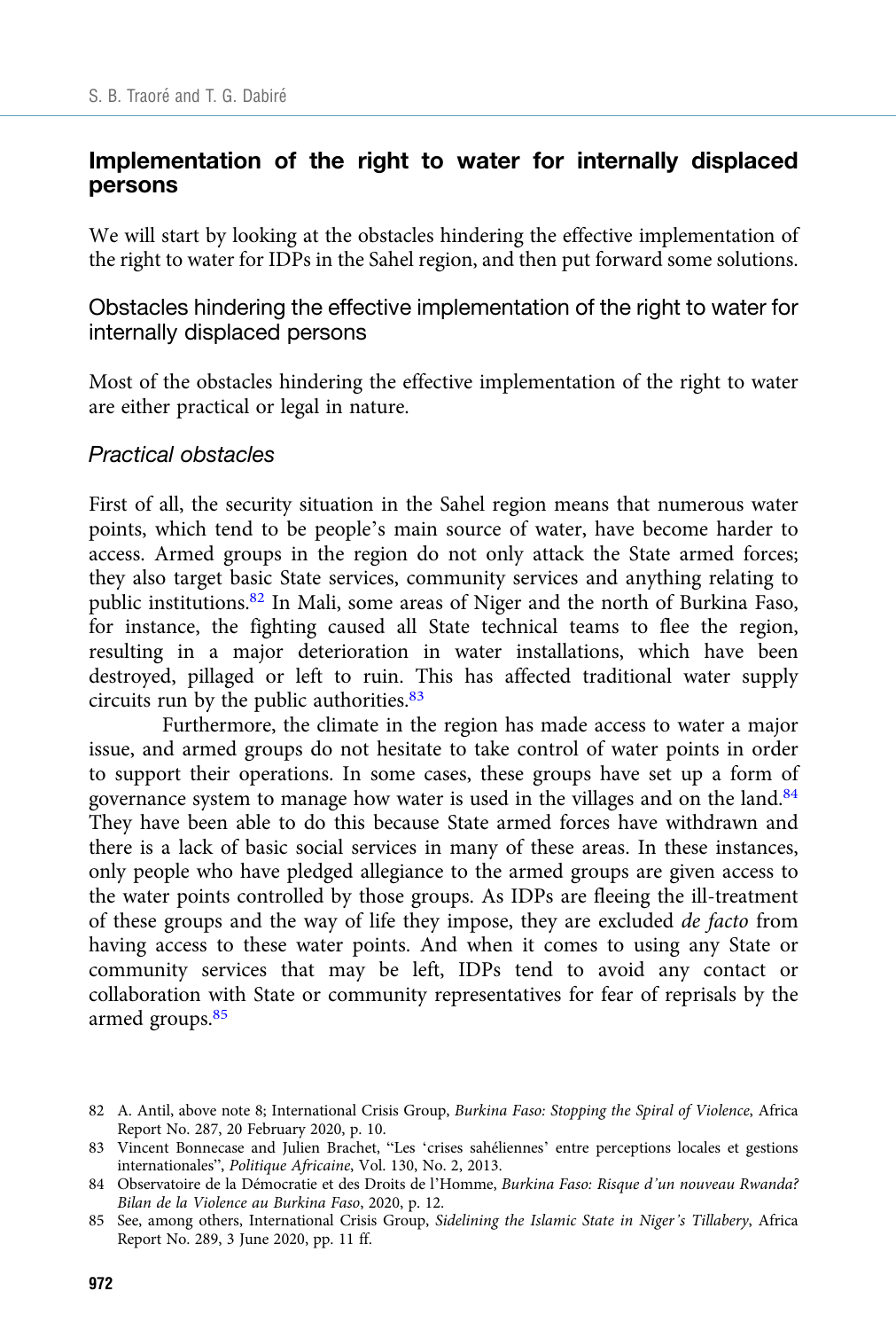## Implementation of the right to water for internally displaced persons

We will start by looking at the obstacles hindering the effective implementation of the right to water for IDPs in the Sahel region, and then put forward some solutions.

Obstacles hindering the effective implementation of the right to water for internally displaced persons

Most of the obstacles hindering the effective implementation of the right to water are either practical or legal in nature.

#### Practical obstacles

First of all, the security situation in the Sahel region means that numerous water points, which tend to be people's main source of water, have become harder to access. Armed groups in the region do not only attack the State armed forces; they also target basic State services, community services and anything relating to public institutions.82 In Mali, some areas of Niger and the north of Burkina Faso, for instance, the fighting caused all State technical teams to flee the region, resulting in a major deterioration in water installations, which have been destroyed, pillaged or left to ruin. This has affected traditional water supply circuits run by the public authorities. $83$ 

Furthermore, the climate in the region has made access to water a major issue, and armed groups do not hesitate to take control of water points in order to support their operations. In some cases, these groups have set up a form of governance system to manage how water is used in the villages and on the land.<sup>84</sup> They have been able to do this because State armed forces have withdrawn and there is a lack of basic social services in many of these areas. In these instances, only people who have pledged allegiance to the armed groups are given access to the water points controlled by those groups. As IDPs are fleeing the ill-treatment of these groups and the way of life they impose, they are excluded de facto from having access to these water points. And when it comes to using any State or community services that may be left, IDPs tend to avoid any contact or collaboration with State or community representatives for fear of reprisals by the armed groups.<sup>85</sup>

<sup>82</sup> A. Antil, above note 8; International Crisis Group, Burkina Faso: Stopping the Spiral of Violence, Africa Report No. 287, 20 February 2020, p. 10.

<sup>83</sup> Vincent Bonnecase and Julien Brachet, "Les 'crises sahéliennes' entre perceptions locales et gestions internationales", Politique Africaine, Vol. 130, No. 2, 2013.

<sup>84</sup> Observatoire de la Démocratie et des Droits de l'Homme, Burkina Faso: Risque d'un nouveau Rwanda? Bilan de la Violence au Burkina Faso, 2020, p. 12.

<sup>85</sup> See, among others, International Crisis Group, Sidelining the Islamic State in Niger's Tillabery, Africa Report No. 289, 3 June 2020, pp. 11 ff.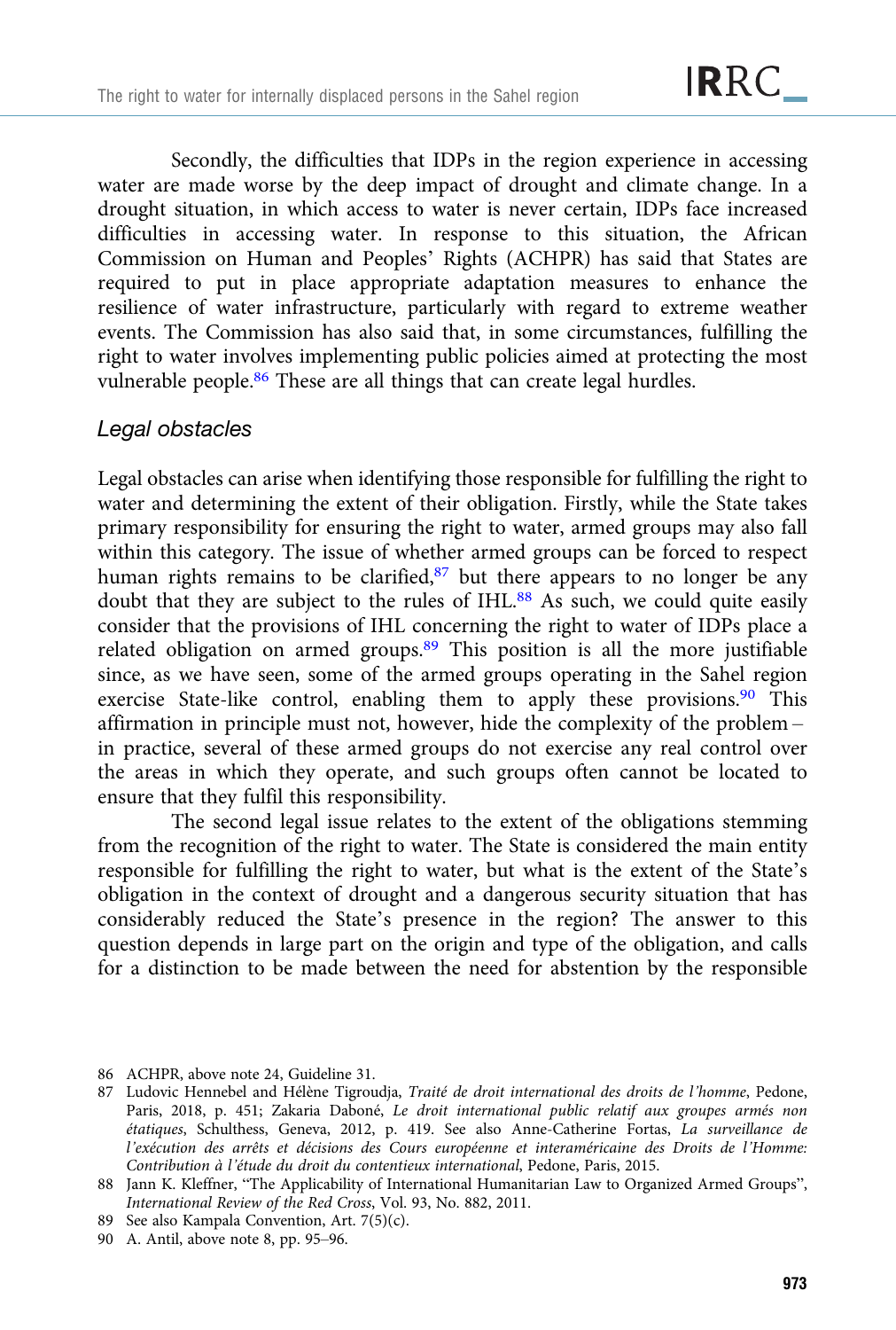Secondly, the difficulties that IDPs in the region experience in accessing water are made worse by the deep impact of drought and climate change. In a drought situation, in which access to water is never certain, IDPs face increased difficulties in accessing water. In response to this situation, the African Commission on Human and Peoples' Rights (ACHPR) has said that States are required to put in place appropriate adaptation measures to enhance the resilience of water infrastructure, particularly with regard to extreme weather events. The Commission has also said that, in some circumstances, fulfilling the right to water involves implementing public policies aimed at protecting the most vulnerable people.<sup>86</sup> These are all things that can create legal hurdles.

#### Legal obstacles

Legal obstacles can arise when identifying those responsible for fulfilling the right to water and determining the extent of their obligation. Firstly, while the State takes primary responsibility for ensuring the right to water, armed groups may also fall within this category. The issue of whether armed groups can be forced to respect human rights remains to be clarified,<sup>87</sup> but there appears to no longer be any doubt that they are subject to the rules of IHL.<sup>88</sup> As such, we could quite easily consider that the provisions of IHL concerning the right to water of IDPs place a related obligation on armed groups.89 This position is all the more justifiable since, as we have seen, some of the armed groups operating in the Sahel region exercise State-like control, enabling them to apply these provisions.<sup>90</sup> This affirmation in principle must not, however, hide the complexity of the problem – in practice, several of these armed groups do not exercise any real control over the areas in which they operate, and such groups often cannot be located to ensure that they fulfil this responsibility.

The second legal issue relates to the extent of the obligations stemming from the recognition of the right to water. The State is considered the main entity responsible for fulfilling the right to water, but what is the extent of the State's obligation in the context of drought and a dangerous security situation that has considerably reduced the State's presence in the region? The answer to this question depends in large part on the origin and type of the obligation, and calls for a distinction to be made between the need for abstention by the responsible

86 ACHPR, above note 24, Guideline 31.

<sup>87</sup> Ludovic Hennebel and Hélène Tigroudja, Traité de droit international des droits de l'homme, Pedone, Paris, 2018, p. 451; Zakaria Daboné, Le droit international public relatif aux groupes armés non étatiques, Schulthess, Geneva, 2012, p. 419. See also Anne-Catherine Fortas, La surveillance de l'exécution des arrêts et décisions des Cours européenne et interaméricaine des Droits de l'Homme: Contribution à l'étude du droit du contentieux international, Pedone, Paris, 2015.

<sup>88</sup> Jann K. Kleffner, "The Applicability of International Humanitarian Law to Organized Armed Groups", International Review of the Red Cross, Vol. 93, No. 882, 2011.

<sup>89</sup> See also Kampala Convention, Art. 7(5)(c).

<sup>90</sup> A. Antil, above note 8, pp. 95–96.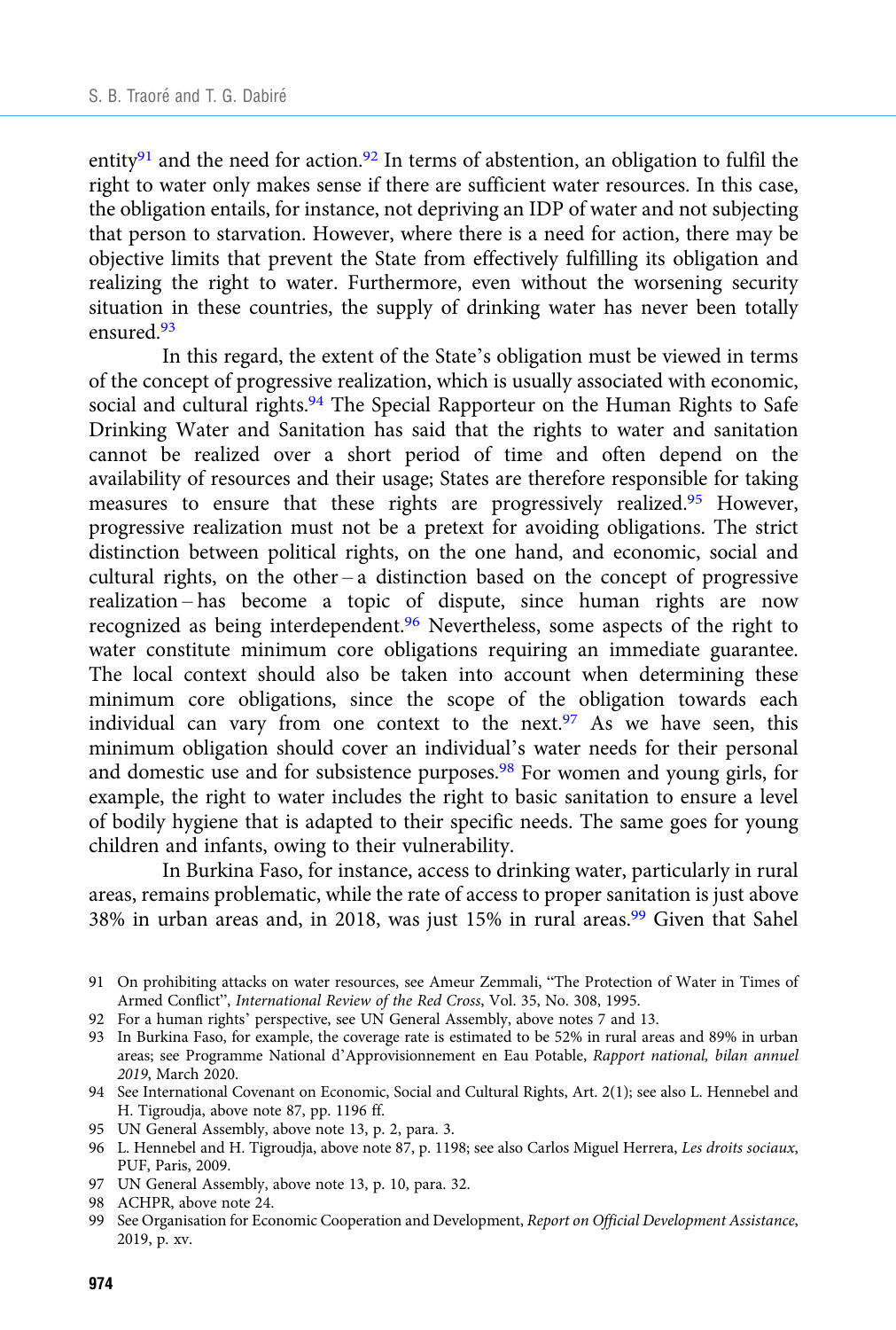entity<sup>91</sup> and the need for action.<sup>92</sup> In terms of abstention, an obligation to fulfil the right to water only makes sense if there are sufficient water resources. In this case, the obligation entails, for instance, not depriving an IDP of water and not subjecting that person to starvation. However, where there is a need for action, there may be objective limits that prevent the State from effectively fulfilling its obligation and realizing the right to water. Furthermore, even without the worsening security situation in these countries, the supply of drinking water has never been totally ensured.93

In this regard, the extent of the State's obligation must be viewed in terms of the concept of progressive realization, which is usually associated with economic, social and cultural rights.<sup>94</sup> The Special Rapporteur on the Human Rights to Safe Drinking Water and Sanitation has said that the rights to water and sanitation cannot be realized over a short period of time and often depend on the availability of resources and their usage; States are therefore responsible for taking measures to ensure that these rights are progressively realized.95 However, progressive realization must not be a pretext for avoiding obligations. The strict distinction between political rights, on the one hand, and economic, social and cultural rights, on the other – a distinction based on the concept of progressive realization – has become a topic of dispute, since human rights are now recognized as being interdependent.<sup>96</sup> Nevertheless, some aspects of the right to water constitute minimum core obligations requiring an immediate guarantee. The local context should also be taken into account when determining these minimum core obligations, since the scope of the obligation towards each individual can vary from one context to the next.<sup>97</sup> As we have seen, this minimum obligation should cover an individual's water needs for their personal and domestic use and for subsistence purposes.<sup>98</sup> For women and young girls, for example, the right to water includes the right to basic sanitation to ensure a level of bodily hygiene that is adapted to their specific needs. The same goes for young children and infants, owing to their vulnerability.

In Burkina Faso, for instance, access to drinking water, particularly in rural areas, remains problematic, while the rate of access to proper sanitation is just above 38% in urban areas and, in 2018, was just 15% in rural areas.99 Given that Sahel

- 92 For a human rights' perspective, see UN General Assembly, above notes 7 and 13.
- 93 In Burkina Faso, for example, the coverage rate is estimated to be 52% in rural areas and 89% in urban areas; see Programme National d'Approvisionnement en Eau Potable, Rapport national, bilan annuel 2019, March 2020.
- 94 See International Covenant on Economic, Social and Cultural Rights, Art. 2(1); see also L. Hennebel and H. Tigroudja, above note 87, pp. 1196 ff.
- 95 UN General Assembly, above note 13, p. 2, para. 3.
- 96 L. Hennebel and H. Tigroudja, above note 87, p. 1198; see also Carlos Miguel Herrera, Les droits sociaux, PUF, Paris, 2009.
- 97 UN General Assembly, above note 13, p. 10, para. 32.
- 98 ACHPR, above note 24.
- 99 See Organisation for Economic Cooperation and Development, Report on Official Development Assistance, 2019, p. xv.

<sup>91</sup> On prohibiting attacks on water resources, see Ameur Zemmali, "The Protection of Water in Times of Armed Conflict", International Review of the Red Cross, Vol. 35, No. 308, 1995.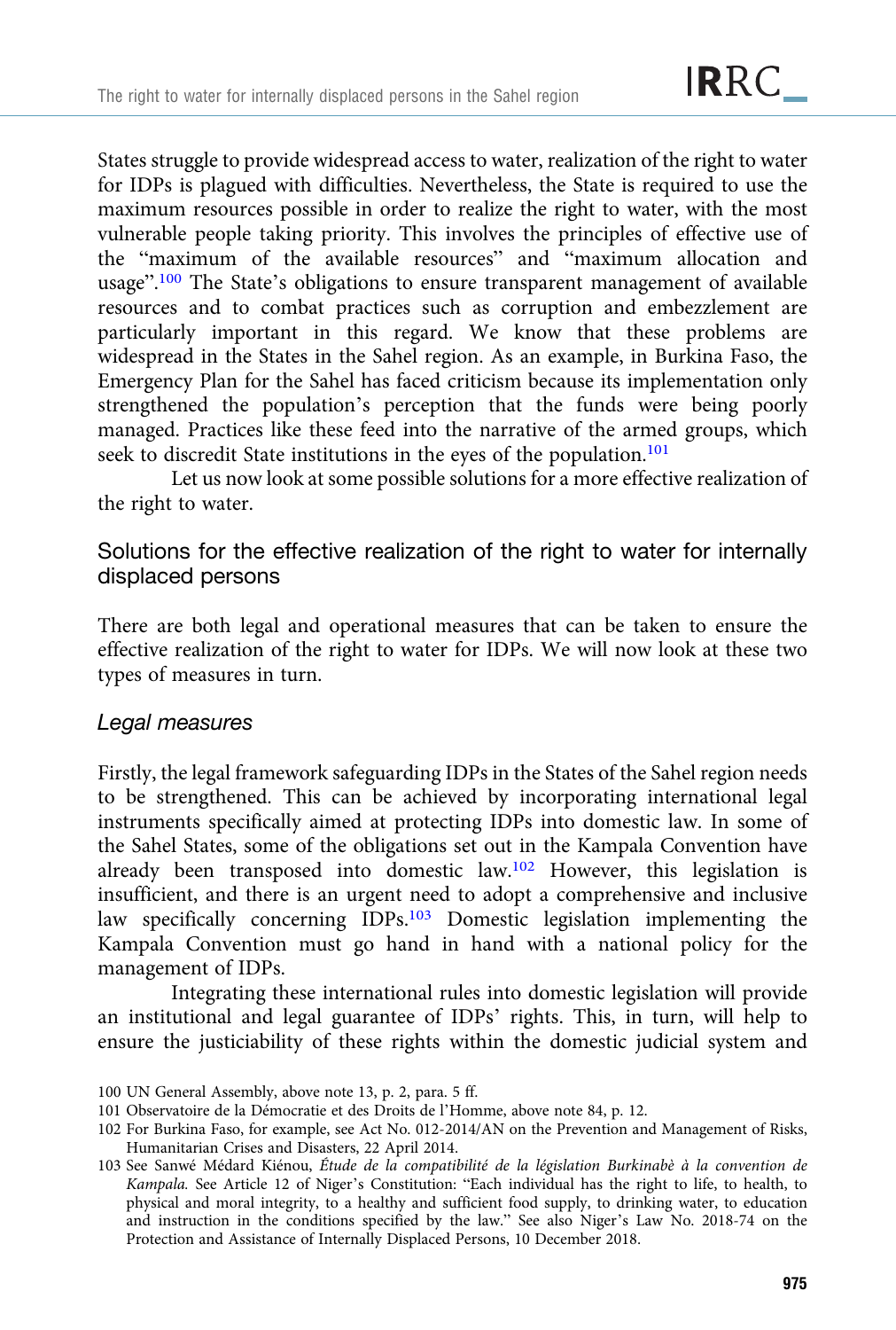States struggle to provide widespread access to water, realization of the right to water for IDPs is plagued with difficulties. Nevertheless, the State is required to use the maximum resources possible in order to realize the right to water, with the most vulnerable people taking priority. This involves the principles of effective use of the "maximum of the available resources" and "maximum allocation and usage".<sup>100</sup> The State's obligations to ensure transparent management of available resources and to combat practices such as corruption and embezzlement are particularly important in this regard. We know that these problems are widespread in the States in the Sahel region. As an example, in Burkina Faso, the Emergency Plan for the Sahel has faced criticism because its implementation only strengthened the population's perception that the funds were being poorly managed. Practices like these feed into the narrative of the armed groups, which seek to discredit State institutions in the eyes of the population.<sup>101</sup>

Let us now look at some possible solutions for a more effective realization of the right to water.

## Solutions for the effective realization of the right to water for internally displaced persons

There are both legal and operational measures that can be taken to ensure the effective realization of the right to water for IDPs. We will now look at these two types of measures in turn.

#### Legal measures

Firstly, the legal framework safeguarding IDPs in the States of the Sahel region needs to be strengthened. This can be achieved by incorporating international legal instruments specifically aimed at protecting IDPs into domestic law. In some of the Sahel States, some of the obligations set out in the Kampala Convention have already been transposed into domestic law.102 However, this legislation is insufficient, and there is an urgent need to adopt a comprehensive and inclusive law specifically concerning IDPs.<sup>103</sup> Domestic legislation implementing the Kampala Convention must go hand in hand with a national policy for the management of IDPs.

Integrating these international rules into domestic legislation will provide an institutional and legal guarantee of IDPs' rights. This, in turn, will help to ensure the justiciability of these rights within the domestic judicial system and

<sup>100</sup> UN General Assembly, above note 13, p. 2, para. 5 ff.

<sup>101</sup> Observatoire de la Démocratie et des Droits de l'Homme, above note 84, p. 12.

<sup>102</sup> For Burkina Faso, for example, see Act No. 012-2014/AN on the Prevention and Management of Risks, Humanitarian Crises and Disasters, 22 April 2014.

<sup>103</sup> See Sanwé Médard Kiénou, Étude de la compatibilité de la législation Burkinabè à la convention de Kampala. See Article 12 of Niger's Constitution: "Each individual has the right to life, to health, to physical and moral integrity, to a healthy and sufficient food supply, to drinking water, to education and instruction in the conditions specified by the law." See also Niger's Law No. 2018-74 on the Protection and Assistance of Internally Displaced Persons, 10 December 2018.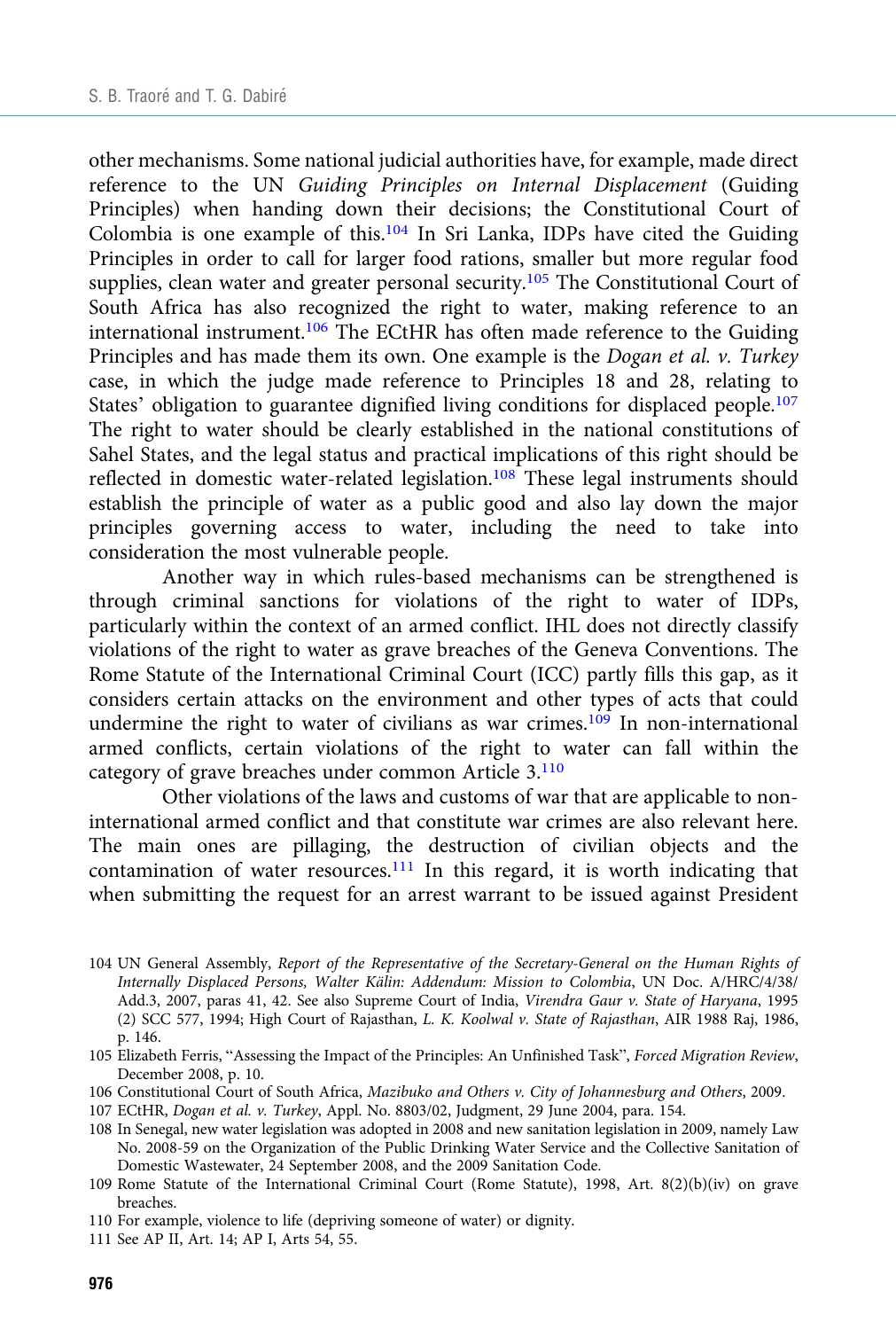other mechanisms. Some national judicial authorities have, for example, made direct reference to the UN Guiding Principles on Internal Displacement (Guiding Principles) when handing down their decisions; the Constitutional Court of Colombia is one example of this.104 In Sri Lanka, IDPs have cited the Guiding Principles in order to call for larger food rations, smaller but more regular food supplies, clean water and greater personal security.<sup>105</sup> The Constitutional Court of South Africa has also recognized the right to water, making reference to an international instrument.106 The ECtHR has often made reference to the Guiding Principles and has made them its own. One example is the *Dogan et al. v. Turkey* case, in which the judge made reference to Principles 18 and 28, relating to States' obligation to guarantee dignified living conditions for displaced people.<sup>107</sup> The right to water should be clearly established in the national constitutions of Sahel States, and the legal status and practical implications of this right should be reflected in domestic water-related legislation.<sup>108</sup> These legal instruments should establish the principle of water as a public good and also lay down the major principles governing access to water, including the need to take into consideration the most vulnerable people.

Another way in which rules-based mechanisms can be strengthened is through criminal sanctions for violations of the right to water of IDPs, particularly within the context of an armed conflict. IHL does not directly classify violations of the right to water as grave breaches of the Geneva Conventions. The Rome Statute of the International Criminal Court (ICC) partly fills this gap, as it considers certain attacks on the environment and other types of acts that could undermine the right to water of civilians as war crimes.<sup>109</sup> In non-international armed conflicts, certain violations of the right to water can fall within the category of grave breaches under common Article 3.110

Other violations of the laws and customs of war that are applicable to noninternational armed conflict and that constitute war crimes are also relevant here. The main ones are pillaging, the destruction of civilian objects and the contamination of water resources.111 In this regard, it is worth indicating that when submitting the request for an arrest warrant to be issued against President

- 105 Elizabeth Ferris, "Assessing the Impact of the Principles: An Unfinished Task", Forced Migration Review, December 2008, p. 10.
- 106 Constitutional Court of South Africa, Mazibuko and Others v. City of Johannesburg and Others, 2009.
- 107 ECtHR, Dogan et al. v. Turkey, Appl. No. 8803/02, Judgment, 29 June 2004, para. 154.
- 108 In Senegal, new water legislation was adopted in 2008 and new sanitation legislation in 2009, namely Law No. 2008-59 on the Organization of the Public Drinking Water Service and the Collective Sanitation of Domestic Wastewater, 24 September 2008, and the 2009 Sanitation Code.
- 109 Rome Statute of the International Criminal Court (Rome Statute), 1998, Art. 8(2)(b)(iv) on grave breaches.
- 110 For example, violence to life (depriving someone of water) or dignity.
- 111 See AP II, Art. 14; AP I, Arts 54, 55.

<sup>104</sup> UN General Assembly, Report of the Representative of the Secretary-General on the Human Rights of Internally Displaced Persons, Walter Kälin: Addendum: Mission to Colombia, UN Doc. A/HRC/4/38/ Add.3, 2007, paras 41, 42. See also Supreme Court of India, Virendra Gaur v. State of Haryana, 1995 (2) SCC 577, 1994; High Court of Rajasthan, L. K. Koolwal v. State of Rajasthan, AIR 1988 Raj, 1986, p. 146.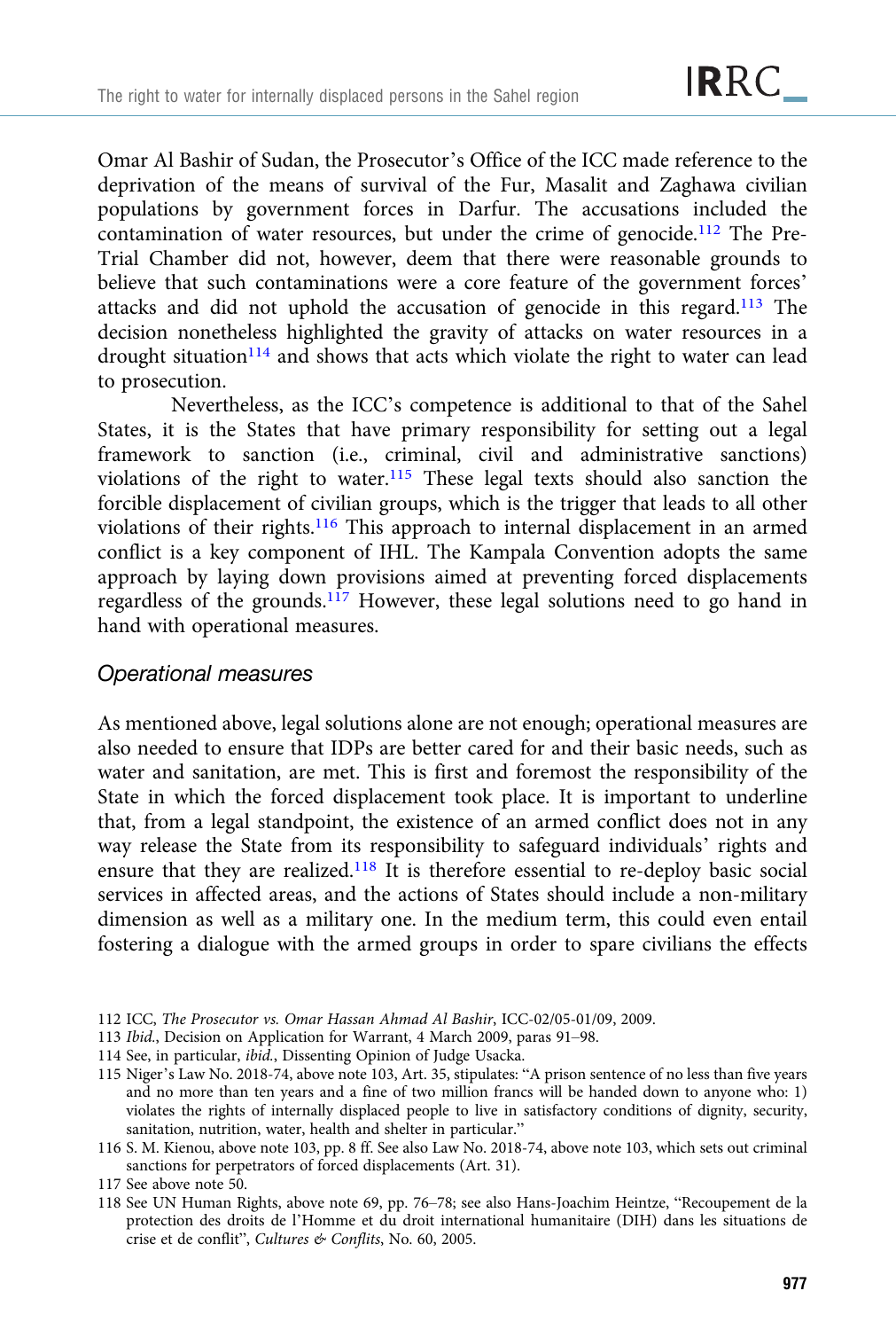Omar Al Bashir of Sudan, the Prosecutor's Office of the ICC made reference to the deprivation of the means of survival of the Fur, Masalit and Zaghawa civilian populations by government forces in Darfur. The accusations included the contamination of water resources, but under the crime of genocide.<sup>112</sup> The Pre-Trial Chamber did not, however, deem that there were reasonable grounds to believe that such contaminations were a core feature of the government forces' attacks and did not uphold the accusation of genocide in this regard.113 The decision nonetheless highlighted the gravity of attacks on water resources in a drought situation<sup>114</sup> and shows that acts which violate the right to water can lead to prosecution.

Nevertheless, as the ICC's competence is additional to that of the Sahel States, it is the States that have primary responsibility for setting out a legal framework to sanction (i.e., criminal, civil and administrative sanctions) violations of the right to water.115 These legal texts should also sanction the forcible displacement of civilian groups, which is the trigger that leads to all other violations of their rights.116 This approach to internal displacement in an armed conflict is a key component of IHL. The Kampala Convention adopts the same approach by laying down provisions aimed at preventing forced displacements regardless of the grounds.117 However, these legal solutions need to go hand in hand with operational measures.

#### Operational measures

As mentioned above, legal solutions alone are not enough; operational measures are also needed to ensure that IDPs are better cared for and their basic needs, such as water and sanitation, are met. This is first and foremost the responsibility of the State in which the forced displacement took place. It is important to underline that, from a legal standpoint, the existence of an armed conflict does not in any way release the State from its responsibility to safeguard individuals' rights and ensure that they are realized.118 It is therefore essential to re-deploy basic social services in affected areas, and the actions of States should include a non-military dimension as well as a military one. In the medium term, this could even entail fostering a dialogue with the armed groups in order to spare civilians the effects

- 112 ICC, The Prosecutor vs. Omar Hassan Ahmad Al Bashir, ICC-02/05-01/09, 2009.
- 113 Ibid., Decision on Application for Warrant, 4 March 2009, paras 91–98.
- 114 See, in particular, ibid., Dissenting Opinion of Judge Usacka.
- 115 Niger's Law No. 2018-74, above note 103, Art. 35, stipulates: "A prison sentence of no less than five years and no more than ten years and a fine of two million francs will be handed down to anyone who: 1) violates the rights of internally displaced people to live in satisfactory conditions of dignity, security, sanitation, nutrition, water, health and shelter in particular."
- 116 S. M. Kienou, above note 103, pp. 8 ff. See also Law No. 2018-74, above note 103, which sets out criminal sanctions for perpetrators of forced displacements (Art. 31).
- 117 See above note 50.
- 118 See UN Human Rights, above note 69, pp. 76–78; see also Hans-Joachim Heintze, "Recoupement de la protection des droits de l'Homme et du droit international humanitaire (DIH) dans les situations de crise et de conflit", Cultures & Conflits, No. 60, 2005.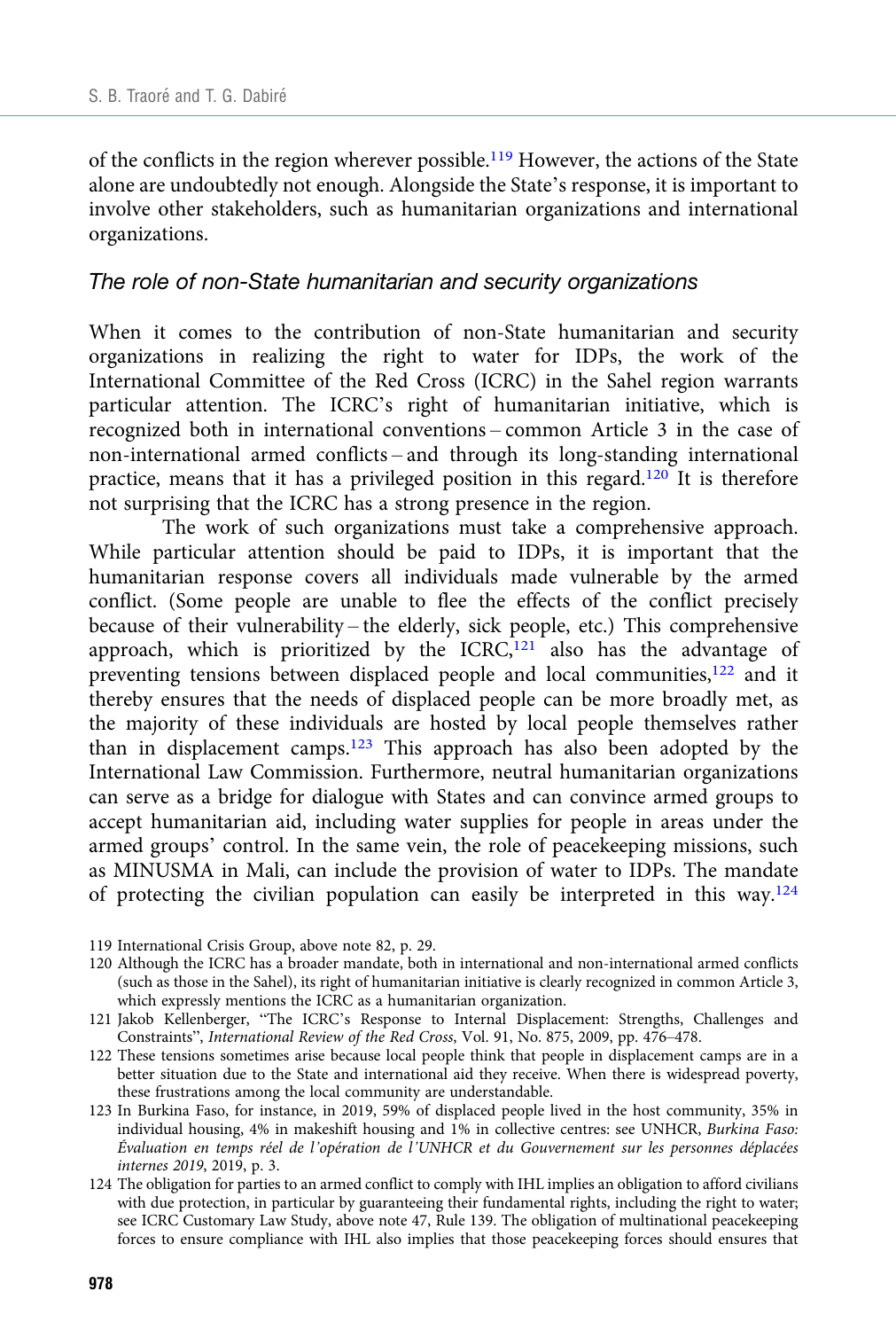of the conflicts in the region wherever possible.<sup>119</sup> However, the actions of the State alone are undoubtedly not enough. Alongside the State's response, it is important to involve other stakeholders, such as humanitarian organizations and international organizations.

#### The role of non-State humanitarian and security organizations

When it comes to the contribution of non-State humanitarian and security organizations in realizing the right to water for IDPs, the work of the International Committee of the Red Cross (ICRC) in the Sahel region warrants particular attention. The ICRC's right of humanitarian initiative, which is recognized both in international conventions – common Article 3 in the case of non-international armed conflicts – and through its long-standing international practice, means that it has a privileged position in this regard.<sup>120</sup> It is therefore not surprising that the ICRC has a strong presence in the region.

The work of such organizations must take a comprehensive approach. While particular attention should be paid to IDPs, it is important that the humanitarian response covers all individuals made vulnerable by the armed conflict. (Some people are unable to flee the effects of the conflict precisely because of their vulnerability – the elderly, sick people, etc.) This comprehensive approach, which is prioritized by the ICRC, $121$  also has the advantage of preventing tensions between displaced people and local communities,<sup>122</sup> and it thereby ensures that the needs of displaced people can be more broadly met, as the majority of these individuals are hosted by local people themselves rather than in displacement camps.<sup>123</sup> This approach has also been adopted by the International Law Commission. Furthermore, neutral humanitarian organizations can serve as a bridge for dialogue with States and can convince armed groups to accept humanitarian aid, including water supplies for people in areas under the armed groups' control. In the same vein, the role of peacekeeping missions, such as MINUSMA in Mali, can include the provision of water to IDPs. The mandate of protecting the civilian population can easily be interpreted in this way.<sup>124</sup>

- 120 Although the ICRC has a broader mandate, both in international and non-international armed conflicts (such as those in the Sahel), its right of humanitarian initiative is clearly recognized in common Article 3, which expressly mentions the ICRC as a humanitarian organization.
- 121 Jakob Kellenberger, "The ICRC's Response to Internal Displacement: Strengths, Challenges and Constraints", International Review of the Red Cross, Vol. 91, No. 875, 2009, pp. 476–478.
- 122 These tensions sometimes arise because local people think that people in displacement camps are in a better situation due to the State and international aid they receive. When there is widespread poverty, these frustrations among the local community are understandable.
- 123 In Burkina Faso, for instance, in 2019, 59% of displaced people lived in the host community, 35% in individual housing, 4% in makeshift housing and 1% in collective centres: see UNHCR, Burkina Faso: Évaluation en temps réel de l'opération de l'UNHCR et du Gouvernement sur les personnes déplacées internes 2019, 2019, p. 3.
- 124 The obligation for parties to an armed conflict to comply with IHL implies an obligation to afford civilians with due protection, in particular by guaranteeing their fundamental rights, including the right to water; see ICRC Customary Law Study, above note 47, Rule 139. The obligation of multinational peacekeeping forces to ensure compliance with IHL also implies that those peacekeeping forces should ensures that

<sup>119</sup> International Crisis Group, above note 82, p. 29.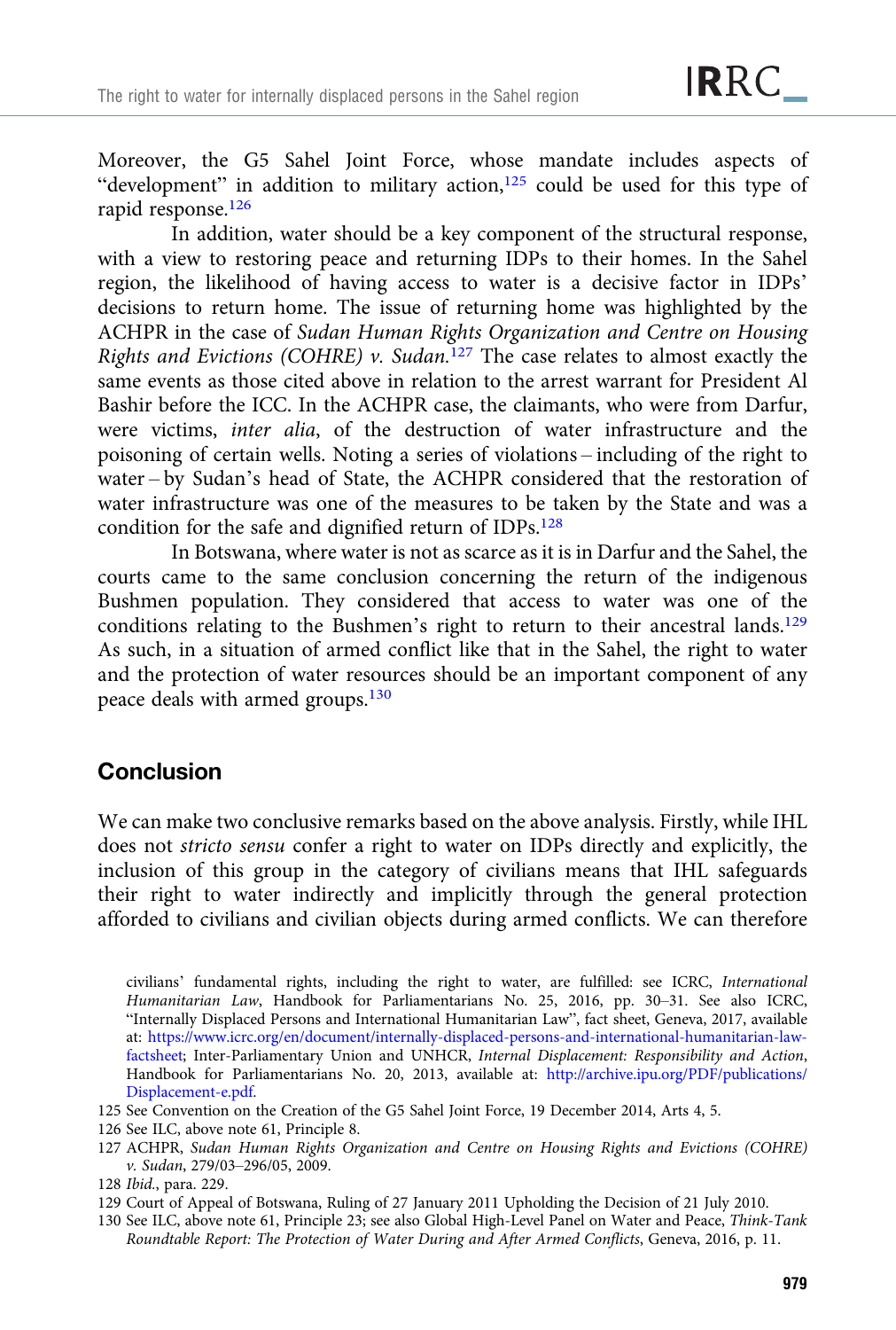Moreover, the G5 Sahel Joint Force, whose mandate includes aspects of "development" in addition to military action,<sup>125</sup> could be used for this type of rapid response.<sup>126</sup>

In addition, water should be a key component of the structural response, with a view to restoring peace and returning IDPs to their homes. In the Sahel region, the likelihood of having access to water is a decisive factor in IDPs' decisions to return home. The issue of returning home was highlighted by the ACHPR in the case of Sudan Human Rights Organization and Centre on Housing Rights and Evictions (COHRE) v. Sudan.<sup>127</sup> The case relates to almost exactly the same events as those cited above in relation to the arrest warrant for President Al Bashir before the ICC. In the ACHPR case, the claimants, who were from Darfur, were victims, inter alia, of the destruction of water infrastructure and the poisoning of certain wells. Noting a series of violations – including of the right to water – by Sudan's head of State, the ACHPR considered that the restoration of water infrastructure was one of the measures to be taken by the State and was a condition for the safe and dignified return of IDPs.<sup>128</sup>

In Botswana, where water is not as scarce as it is in Darfur and the Sahel, the courts came to the same conclusion concerning the return of the indigenous Bushmen population. They considered that access to water was one of the conditions relating to the Bushmen's right to return to their ancestral lands.<sup>129</sup> As such, in a situation of armed conflict like that in the Sahel, the right to water and the protection of water resources should be an important component of any peace deals with armed groups.130

# **Conclusion**

We can make two conclusive remarks based on the above analysis. Firstly, while IHL does not stricto sensu confer a right to water on IDPs directly and explicitly, the inclusion of this group in the category of civilians means that IHL safeguards their right to water indirectly and implicitly through the general protection afforded to civilians and civilian objects during armed conflicts. We can therefore

civilians' fundamental rights, including the right to water, are fulfilled: see ICRC, International Humanitarian Law, Handbook for Parliamentarians No. 25, 2016, pp. 30–31. See also ICRC, "Internally Displaced Persons and International Humanitarian Law", fact sheet, Geneva, 2017, available at: [https://www.icrc.org/en/document/internally-displaced-persons-and-international-humanitarian-law](http://www.icrc.org/fr/document/personnes-deplacees-linterieur-de-leur-propre-pays-et-droit-international-humanitaire)[factsheet;](http://www.icrc.org/fr/document/personnes-deplacees-linterieur-de-leur-propre-pays-et-droit-international-humanitaire) Inter-Parliamentary Union and UNHCR, Internal Displacement: Responsibility and Action, Handbook for Parliamentarians No. 20, 2013, available at: [http://archive.ipu.org/PDF/publications/](http://archive.ipu.org/PDF/publications/Displacement-e.pdf) [Displacement-e.pdf](http://archive.ipu.org/PDF/publications/Displacement-e.pdf).

<sup>125</sup> See Convention on the Creation of the G5 Sahel Joint Force, 19 December 2014, Arts 4, 5.

<sup>126</sup> See ILC, above note 61, Principle 8.

<sup>127</sup> ACHPR, Sudan Human Rights Organization and Centre on Housing Rights and Evictions (COHRE) v. Sudan, 279/03–296/05, 2009.

<sup>128</sup> Ibid., para. 229.

<sup>129</sup> Court of Appeal of Botswana, Ruling of 27 January 2011 Upholding the Decision of 21 July 2010.

<sup>130</sup> See ILC, above note 61, Principle 23; see also Global High-Level Panel on Water and Peace, Think-Tank Roundtable Report: The Protection of Water During and After Armed Conflicts, Geneva, 2016, p. 11.